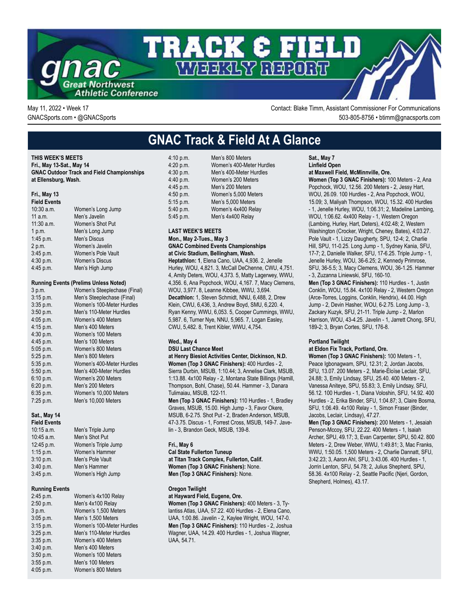

May 11, 2022 • Week 17 Contact: Blake Timm, Assistant Commissioner For Communications GNACSports.com • @GNACSports 503-805-8756 • btimm@gnacsports.com

# **GNAC Track & Field At A Glance**

**THIS WEEK'S MEETS Fri., May 13-Sat., May 14 GNAC Outdoor Track and Field Championships at Ellensburg, Wash.**

### **Fri., May 13**

#### **Field Events** 10:30 a.m. Women's Long Jump 11 a.m. Men's Javelin 11:30 a.m. Women's Shot Put 1 p.m. Men's Long Jump 1:45 p.m. Men's Discus 2 p.m. Women's Javelin<br>3:45 p.m. Women's Pole Va Women's Pole Vault 4:30 p.m. Women's Discus 4:45 p.m. Men's High Jump

#### **Running Events (Prelims Unless Noted)**

| 3 p.m.      | Women's Steeplechase (Final) |
|-------------|------------------------------|
| 3:15 p.m.   | Men's Steeplechase (Final)   |
| $3:35$ p.m. | Women's 100-Meter Hurdles    |
| 3:50 p.m.   | Men's 110-Meter Hurdles      |
| 4.05 p.m.   | Women's 400 Meters           |
| 4:15 p.m.   | Men's 400 Meters             |
| 4:30 p.m.   | Women's 100 Meters           |
| 4:45 p.m.   | Men's 100 Meters             |
| $5.05$ p.m. | Women's 800 Meters           |
| 5:25 p.m.   | Men's 800 Meters             |
| 5:35 p.m.   | Women's 400-Meter Hurdles    |
| 5:50 p.m.   | Men's 400-Meter Hurdles      |
| 6:10 p.m.   | Women's 200 Meters           |
| 6:20 p.m.   | Men's 200 Meters             |
| 6:35 p.m.   | Women's 10,000 Meters        |
| 7:25 p.m.   | Men's 10,000 Meters          |

#### **Sat., May 14**

| <b>Field Events</b> |                     |
|---------------------|---------------------|
| $10:15$ a.m.        | Men's Triple Jump   |
| 10:45 a.m.          | Men's Shot Put      |
| 12:45 p.m.          | Women's Triple Jump |
| $1:15$ p.m.         | Women's Hammer      |
| 3:10 p.m.           | Men's Pole Vault    |
| 3.40 p.m.           | Men's Hammer        |
| 3:45 p.m.           | Women's High Jump   |
|                     |                     |

#### **Running Events**

2:45 p.m. Women's 4x100 Relay 2:50 p.m. Men's 4x100 Relay 3 p.m. Women's 1,500 Meters 3:05 p.m. Men's 1,500 Meters 3:15 p.m. Women's 100-Meter Hurdles 3:25 p.m. Men's 110-Meter Hurdles 3:35 p.m. Women's 400 Meters 3:40 p.m. Men's 400 Meters 3:50 p.m. Women's 100 Meters 3:55 p.m. Men's 100 Meters 4:05 p.m. Women's 800 Meters

| 4:10 p.m. | Men's 800 Meters          |
|-----------|---------------------------|
| 4:20 p.m. | Women's 400-Meter Hurdles |
| 4:30 p.m. | Men's 400-Meter Hurdles   |
| 4:40 p.m. | Women's 200 Meters        |
| 4:45 p.m. | Men's 200 Meters          |
| 4:50 p.m. | Women's 5,000 Meters      |
| 5:15 p.m. | Men's 5,000 Meters        |
| 5:40 p.m. | Women's 4x400 Relay       |
| 5:45 p.m. | Men's 4x400 Relay         |

#### **LAST WEEK'S MEETS Mon., May 2-Tues., May 3 GNAC Combined Events Championships at Civic Stadium, Bellingham, Wash.**

**Heptathlon: 1**, Elena Cano, UAA, 4,936. 2, Jenelle Hurley, WOU, 4,821. 3, McCall DeChenne, CWU, 4,751. 4, Amity Deters, WOU, 4,373. 5, Matty Lagerwey, WWU, 4,356. 6, Ana Popchock, WOU, 4,167. 7, Macy Clemens, WOU, 3,977. 8, Leanne Kibbee, WWU, 3,694. **Decathlon:** 1, Steven Schmidt, NNU, 6,488, 2, Drew Klein, CWU, 6,436, 3, Andrew Boyd, SMU, 6,220. 4, Ryan Kenny, WWU, 6,053. 5, Cooper Cummings, WWU, 5,987. 6, Turner Nye, NNU, 5,965. 7, Logan Easley, CWU, 5,482. 8, Trent Kibler, WWU, 4,754.

#### **Wed., May 4**

**DSU Last Chance Meet**

**at Henry Biesiot Activities Center, Dickinson, N.D. Women (Top 3 GNAC Finishers):** 400 Hurdles - 2, Sierra Durbin, MSUB, 1:10.44; 3, Annelise Clark, MSUB, 1:13.88. 4x100 Relay - 2, Montana State Billings (Hamill, Thompson, Bohl, Chase), 50.44. Hammer - 3, Danara Tulimaiau, MSUB, 122-11.

**Men (Top 3 GNAC Finishers):** 110 Hurdles - 1, Bradley Graves, MSUB, 15.00. High Jump - 3, Favor Okere, MSUB, 6-2.75. Shot Put - 2, Braden Anderson, MSUB, 47-3.75. Discus - 1, Forrest Cross, MSUB, 149-7. Javelin - 3, Brandon Geck, MSUB, 139-8.

#### **Fri., May 6**

**Cal State Fullerton Tuneup at Titan Track Complex, Fullerton, Calif. Women (Top 3 GNAC Finishers):** None. **Men (Top 3 GNAC Finishers):** None.

## **Oregon Twilight**

## **at Hayward Field, Eugene, Ore.**

**Women (Top 3 GNAC Finishers):** 400 Meters - 3, Tylantiss Atlas, UAA, 57.22. 400 Hurdles - 2, Elena Cano, UAA, 1:00.86. Javelin - 2, Kaylee Wright, WOU, 147-0. **Men (Top 3 GNAC Finishers):** 110 Hurdles - 2, Joshua Wagner, UAA, 14.29. 400 Hurdles - 1, Joshua Wagner, UAA, 54.71.

**Sat., May 7 Linfield Open at Maxwell Field, McMinnville, Ore.**

**Women (Top 3 GNAC Finishers):** 100 Meters - 2, Ana Popchock, WOU, 12.56. 200 Meters - 2, Jessy Hart, WOU, 26.09. 100 Hurdles - 2, Ana Popchock, WOU, 15.09; 3, Maliyah Thompson, WOU, 15.32. 400 Hurdles - 1, Jenelle Hurley, WOU, 1:06.31; 2, Madeline Lambing, WOU, 1:06.62. 4x400 Relay - 1, Western Oregon (Lambing, Hurley, Hart, Deters), 4:02.48; 2, Western Washington (Crocker, Wright, Cheney, Bates), 4:03.27. Pole Vault - 1, Lizzy Daugherty, SPU, 12-4; 2, Charlie Hill, SPU, 11-0.25. Long Jump - 1, Sydney Kania, SFU, 17-7; 2, Danielle Walker, SFU, 17-6.25. Triple Jump - 1, Jenelle Hurley, WOU, 36-6.25; 2, Kennedy Primrose, SFU, 36-5.5; 3, Macy Clemens, WOU, 36-1.25. Hammer - 3, Zuzanna Liniewski, SFU, 160-10.

**Men (Top 3 GNAC Finishers):** 110 Hurdles - 1, Justin Conklin, WOU, 15.84. 4x100 Relay - 2, Western Oregon (Arce-Torres, Loggins, Conklin, Hendrix), 44.00. High Jump - 2, Devin Hasher, WOU, 6-2.75. Long Jump - 3, Zackary Kuzyk, SFU, 21-11. Triple Jump - 2, Marlon Harrison, WOU, 43-4.25. Javelin - 1, Jarrett Chong, SFU, 189-2; 3, Bryan Cortes, SFU, 176-8.

#### **Portland Twilight**

**at Eldon Fix Track, Portland, Ore.**

**Women (Top 3 GNAC Finishers):** 100 Meters - 1, Peace Igbonagwam, SPU, 12.31; 2, Jordan Jacobs, SFU, 13.07. 200 Meters - 2, Marie-Éloïse Leclair, SFU, 24.88; 3, Emily Lindsay, SFU, 25.40. 400 Meters - 2, Vanessa Aniteye, SPU, 55.83; 3, Emily Lindsay, SFU, 56.12. 100 Hurdles - 1, Diana Voloshin, SFU, 14.92. 400 Hurdles - 2, Erika Binder, SFU, 1:04.87; 3, Claire Bosma, SFU, 1:06.49. 4x100 Relay - 1, Simon Fraser (Binder, Jacobs, Leclair, Lindsay), 47.27.

**Men (Top 3 GNAC Finishers):** 200 Meters - 1, Jesaiah Penson-Mccoy, SFU, 22.22. 400 Meters - 1, Isaiah Archer, SPU, 49.17; 3, Evan Carpenter, SPU, 50.42. 800 Meters - 2, Drew Weber, WWU, 1:49.81; 3, Mac Franks, WWU, 1:50.05. 1,500 Meters - 2, Charlie Dannatt, SFU, 3:42.23; 3, Aaron Ahl, SFU, 3:43.06. 400 Hurdles - 1, Jorrin Lenton, SFU, 54.78; 2, Julius Shepherd, SPU, 58.36. 4x100 Relay - 2, Seattle Pacific (Njeri, Gordon, Shepherd, Holmes), 43.17.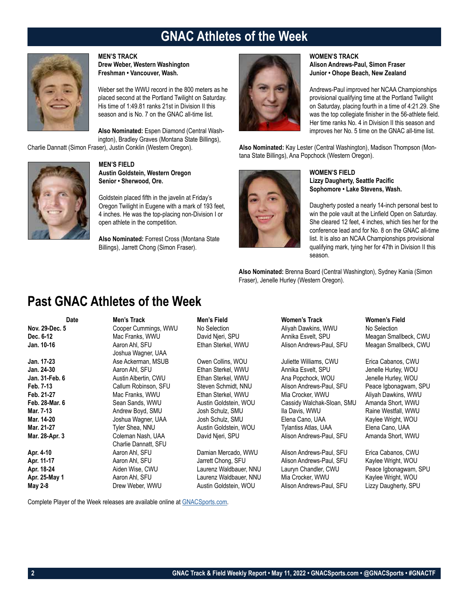## **GNAC Athletes of the Week**



**MEN'S TRACK**

**Drew Weber, Western Washington Freshman • Vancouver, Wash.**

Weber set the WWU record in the 800 meters as he placed second at the Portland Twilight on Saturday. His time of 1:49.81 ranks 21st in Division II this season and is No. 7 on the GNAC all-time list.

**Also Nominated:** Espen Diamond (Central Washington), Bradley Graves (Montana State Billings),

Charlie Dannatt (Simon Fraser), Justin Conklin (Western Oregon).



**MEN'S FIELD Austin Goldstein, Western Oregon Senior • Sherwood, Ore.**

Goldstein placed fifth in the javelin at Friday's Oregon Twilight in Eugene with a mark of 193 feet, 4 inches. He was the top-placing non-Division I or open athlete in the competition.

**Also Nominated:** Forrest Cross (Montana State Billings), Jarrett Chong (Simon Fraser).



## **WOMEN'S TRACK Alison Andrews-Paul, Simon Fraser Junior • Ohope Beach, New Zealand**

Andrews-Paul improved her NCAA Championships provisional qualifying time at the Portland Twilight on Saturday, placing fourth in a time of 4:21.29. She was the top collegiate finisher in the 56-athlete field. Her time ranks No. 4 in Division II this season and improves her No. 5 time on the GNAC all-time list.

**Also Nominated:** Kay Lester (Central Washington), Madison Thompson (Montana State Billings), Ana Popchock (Western Oregon).



## **WOMEN'S FIELD Lizzy Daugherty, Seattle Pacific Sophomore • Lake Stevens, Wash.**

Daugherty posted a nearly 14-inch personal best to win the pole vault at the Linfield Open on Saturday. She cleared 12 feet, 4 inches, which ties her for the conference lead and for No. 8 on the GNAC all-time list. It is also an NCAA Championships provisional qualifying mark, tying her for 47th in Division II this season.

**Also Nominated:** Brenna Board (Central Washington), Sydney Kania (Simon Fraser), Jenelle Hurley (Western Oregon).

## **Past GNAC Athletes of the Week**

**Date Men's Track Men's Field Women's Track Women's Field Nov. 29-Dec. 5** Cooper Cummings, WWU No Selection and Aliyah Dawkins, WWU No Selection **No Selection**<br> **Dec. 6-12 Mac Franks, WWU** David Njeri, SPU Annika Esvelt, SPU Meagan Sma **Dec. 6-12** Mac Franks, WWU David Njeri, SPU Annika Esvelt, SPU Meagan Smallbeck, CWU **Jan. 10-16** Aaron Ahl, SFU Ethan Sterkel, WWU Alison Andrews-Paul, SFU Meagan Smallbeck, CWU Joshua Wagner, UAA **Jan. 17-23** Ase Ackerman, MSUB Owen Collins, WOU Juliette Williams, CWU Erica Cabanos, CWU **Jan. 24-30** Aaron Ahl, SFU Ethan Sterkel, WWU Annika Esvelt, SPU Jenelle Hurley, WOU **Jan. 31-Feb. 6 Austin Albertin, CWU** Ethan Sterkel, WWU Ana Popchock, WOU Jenelle Hurley, WOU<br> **Feb. 7-13** Callum Robinson, SFU Steven Schmidt, NNU Alison Andrews-Paul. SFU Peace lobonaowam. **Feb. 7-13** Callum Robinson, SFU Steven Schmidt, NNU Alison Andrews-Paul, SFU Peace Igbonagwam, SPU **Feb. 21-27** Mac Franks, WWU Ethan Sterkel, WWU Mia Crocker, WWU Aliyah Dawkins, WWU **Feb. 28-Mar. 6** Sean Sands, WWU Austin Goldstein, WOU Cassidy Walchak-Sloan, SMU Amanda Short, WWU **Mar. 7-13** Andrew Boyd, SMU Josh Schulz, SMU Ila Davis, WWU Raine Westfall, WWU **Mar. 14-20 Joshua Wagner, UAA** Josh Schulz, SMU Elena Cano, UAA Kaylee Wright, WOU **Mar. 21-27** Tyler Shea, NNU Austin Goldstein, WOU Tylantiss Atlas, UAA Elena Cano, UAA **Mar. 28-Apr. 3** Coleman Nash, UAA David Njeri, SPU Alison Andrews-Paul, SFU Amanda Short, WWU Charlie Dannatt, SFU **Apr. 4-10** Aaron Ahl, SFU Damian Mercado, WWU Alison Andrews-Paul, SFU Erica Cabanos, CWU **Apr. 11-17** Aaron Ahl, SFU Jarrett Chong, SFU Alison Andrews-Paul, SFU Kaylee Wright, WOU **Apr. 18-24** Aiden Wise, CWU Laurenz Waldbauer, NNU Lauryn Chandler, CWU Peace Igbonagwam, SPU Apr. 25-May 1 **Abu Acaron Ahl, SFU** Laurenz Waldbauer, NNU Mia Crocker, WWU Kaylee Wright, WOU **May 2-8 Drew Weber, WWU Austin Goldstein, WOU Alison Andrews-Paul, SFU Lizzy Daugherty, SPU** 

Complete Player of the Week releases are available online at GNACSports.com.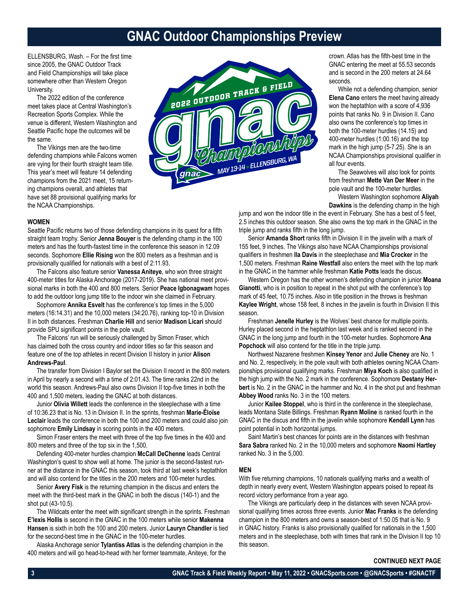## **GNAC Outdoor Championships Preview**

ELLENSBURG, Wash. – For the first time since 2005, the GNAC Outdoor Track and Field Championships will take place somewhere other than Western Oregon University.

The 2022 edition of the conference meet takes place at Central Washington's Recreation Sports Complex. While the venue is different, Western Washington and Seattle Pacific hope the outcomes will be the same.

The Vikings men are the two-time defending champions while Falcons women are vying for their fourth straight team title. This year's meet will feature 14 defending champions from the 2021 meet, 15 returning champions overall, and athletes that have set 88 provisional qualifying marks for the NCAA Championships.



crown. Atlas has the fifth-best time in the GNAC entering the meet at 55.53 seconds and is second in the 200 meters at 24.64 seconds.

While not a defending champion, senior **Elena Cano** enters the meet having already won the heptathlon with a score of 4,936 points that ranks No. 9 in Division II. Cano also owns the conference's top times in both the 100-meter hurdles (14.15) and 400-meter hurdles (1:00.16) and the top mark in the high jump (5-7.25). She is an NCAA Championships provisional qualifier in all four events.

The Seawolves will also look for points from freshman **Mette Van Der Meer** in the pole vault and the 100-meter hurdles.

Western Washington sophomore **Aliyah Dawkins** is the defending champ in the high

jump and won the indoor title in the event in February. She has a best of 5 feet, 2.5 inches this outdoor season. She also owns the top mark in the GNAC in the triple jump and ranks fifth in the long jump.

Senior **Amanda Short** ranks fifth in Division II in the javelin with a mark of 155 feet, 9 inches. The Vikings also have NCAA Championships provisional qualifiers in freshmen **Ila Davis** in the steeplechase and **Mia Crocker** in the 1,500 meters. Freshman **Raine Westfall** also enters the meet with the top mark in the GNAC in the hammer while freshman **Katie Potts** leads the discus.

Western Oregon has the other women's defending champion in junior **Moana Gianotti**, who is in position to repeat in the shot put with the conference's top mark of 45 feet, 10.75 inches. Also in title position in the throws is freshman **Kaylee Wright**, whose 158 feet, 8 inches in the javelin is fourth in Division II this season.

Freshman **Jenelle Hurley** is the Wolves' best chance for multiple points. Hurley placed second in the heptathlon last week and is ranked second in the GNAC in the long jump and fourth in the 100-meter hurdles. Sophomore **Ana Popchock** will also contend for the title in the triple jump.

Northwest Nazarene freshmen **Kinsey Yenor** and **Julie Cheney** are No. 1 and No. 2, respectively, in the pole vault with both athletes owning NCAA Championships provisional qualifying marks. Freshman **Miya Koch** is also qualified in the high jump with the No. 2 mark in the conference. Sophomore **Destany Herbert** is No. 2 in the GNAC in the hammer and No. 4 in the shot put and freshman **Abbey Wood** ranks No. 3 in the 100 meters.

Junior **Kailee Stoppel**, who is third in the conference in the steeplechase, leads Montana State Billings. Freshman **Ryann Moline** is ranked fourth in the GNAC in the discus and fifth in the javelin while sophomore **Kendall Lynn** has point potential in both horizontal jumps.

Saint Martin's best chances for points are in the distances with freshman **Sara Sabra** ranked No. 2 in the 10,000 meters and sophomore **Naomi Hartley** ranked No. 3 in the 5,000.

#### **MEN**

With five returning champions, 10 nationals qualifying marks and a wealth of depth in nearly every event, Western Washington appears poised to repeat its record victory performance from a year ago.

The Vikings are particularly deep in the distances with seven NCAA provisional qualifying times across three events. Junior **Mac Franks** is the defending champion in the 800 meters and owns a season-best of 1:50.05 that is No. 9 in GNAC history. Franks is also provisionally qualified for nationals in the 1,500 meters and in the steeplechase, both with times that rank in the Division II top 10 this season.

## **CONTINUED NEXT PAGE**

## **WOMEN**

Seattle Pacific returns two of those defending champions in its quest for a fifth straight team trophy. Senior **Jenna Bouyer** is the defending champ in the 100 meters and has the fourth-fastest time in the conference this season in 12.09 seconds. Sophomore **Ellie Rising** won the 800 meters as a freshman and is provisionally qualified for nationals with a best of 2:11.93.

The Falcons also feature senior **Vanessa Aniteye**, who won three straight 400-meter titles for Alaska Anchorage (2017-2019). She has national meet provisional marks in both the 400 and 800 meters. Senior **Peace Igbonagwam** hopes to add the outdoor long jump title to the indoor win she claimed in February.

Sophomore **Annika Esvelt** has the conference's top times in the 5,000 meters (16:14.31) and the 10,000 meters (34:20.76), ranking top-10 in Division II in both distances. Freshman **Charlie Hill** and senior **Madison Licari** should provide SPU significant points in the pole vault.

The Falcons' run will be seriously challenged by Simon Fraser, which has claimed both the cross country and indoor titles so far this season and feature one of the top athletes in recent Division II history in junior **Alison Andrews-Paul**.

The transfer from Division I Baylor set the Division II record in the 800 meters in April by nearly a second with a time of 2:01.43. The time ranks 22nd in the world this season. Andrews-Paul also owns Division II top-five times in both the 400 and 1,500 meters, leading the GNAC at both distances.

Junior **Olivia Willett** leads the conference in the steeplechase with a time of 10:36.23 that is No. 13 in Division II. In the sprints, freshman **Marie-Éloïse Leclair** leads the conference in both the 100 and 200 meters and could also join sophomore **Emily Lindsay** in scoring points in the 400 meters.

Simon Fraser enters the meet with three of the top five times in the 400 and 800 meters and three of the top six in the 1,500.

Defending 400-meter hurdles champion **McCall DeChenne** leads Central Washington's quest to show well at home. The junior is the second-fastest runner at the distance in the GNAC this season, took third at last week's heptathlon and will also contend for the titles in the 200 meters and 100-meter hurdles.

Senior **Avery Fisk** is the returning champion in the discus and enters the meet with the third-best mark in the GNAC in both the discus (140-1) and the shot put (43-10.5).

The Wildcats enter the meet with significant strength in the sprints. Freshman **E'lexis Hollis** is second in the GNAC in the 100 meters while senior **Makenna Hansen** is sixth in both the 100 and 200 meters. Junior **Lauryn Chandler** is tied for the second-best time in the GNAC in the 100-meter hurdles.

Alaska Anchorage senior **Tylantiss Atlas** is the defending champion in the 400 meters and will go head-to-head with her former teammate, Aniteye, for the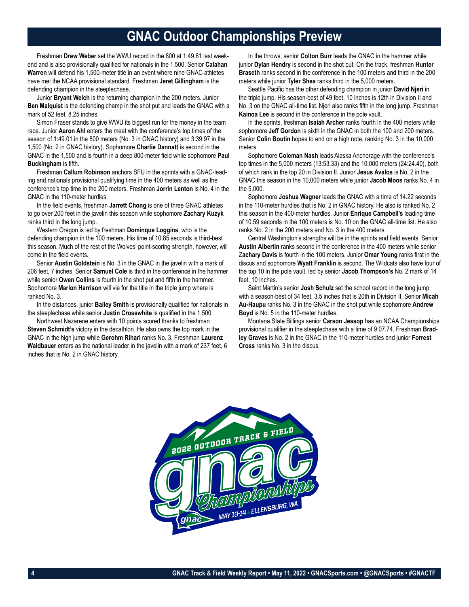## **GNAC Outdoor Championships Preview**

Freshman **Drew Weber** set the WWU record in the 800 at 1:49.81 last weekend and is also provisionally qualified for nationals in the 1,500. Senior **Calahan Warren** will defend his 1,500-meter title in an event where nine GNAC athletes have met the NCAA provisional standard. Freshman **Jeret Gillingham** is the defending champion in the steeplechase.

Junior **Bryant Welch** is the returning champion in the 200 meters. Junior **Ben Malquist** is the defending champ in the shot put and leads the GNAC with a mark of 52 feet, 8.25 inches.

Simon Fraser stands to give WWU its biggest run for the money in the team race. Junior **Aaron Ahl** enters the meet with the conference's top times of the season of 1:49.01 in the 800 meters (No. 3 in GNAC history) and 3:39.97 in the 1,500 (No. 2 in GNAC history). Sophomore **Charlie Dannatt** is second in the GNAC in the 1,500 and is fourth in a deep 800-meter field while sophomore **Paul Buckingham** is fifth.

Freshman **Callum Robinson** anchors SFU in the sprints with a GNAC-leading and nationals provisional qualifying time in the 400 meters as well as the conference's top time in the 200 meters. Freshman **Jorrin Lenton** is No. 4 in the GNAC in the 110-meter hurdles.

In the field events, freshman **Jarrett Chong** is one of three GNAC athletes to go over 200 feet in the javelin this season while sophomore **Zachary Kuzyk** ranks third in the long jump.

Western Oregon is led by freshman **Dominque Loggins**, who is the defending champion in the 100 meters. His time of 10.85 seconds is third-best this season. Much of the rest of the Wolves' point-scoring strength, however, will come in the field events.

Senior **Austin Goldstein** is No. 3 in the GNAC in the javelin with a mark of 206 feet, 7 inches. Senior **Samuel Cole** is third in the conference in the hammer while senior **Owen Collins** is fourth in the shot put and fifth in the hammer. Sophomore **Marlon Harrison** will vie for the title in the triple jump where is ranked No. 3.

In the distances, junior **Bailey Smith** is provisionally qualified for nationals in the steeplechase while senior **Justin Crosswhite** is qualified in the 1,500.

Northwest Nazarene enters with 10 points scored thanks to freshman **Steven Schmidt's** victory in the decathlon. He also owns the top mark in the GNAC in the high jump while **Gerohm Rihari** ranks No. 3. Freshman **Laurenz Waldbauer** enters as the national leader in the javelin with a mark of 237 feet, 6 inches that is No. 2 in GNAC history.

In the throws, senior **Colton Burr** leads the GNAC in the hammer while junior **Dylan Hendry** is second in the shot put. On the track, freshman **Hunter Braseth** ranks second in the conference in the 100 meters and third in the 200 meters while junior **Tyler Shea** ranks third in the 5,000 meters.

Seattle Pacific has the other defending champion in junior **David Njeri** in the triple jump. His season-best of 49 feet, 10 inches is 12th in Division II and No. 3 on the GNAC all-time list. Njeri also ranks fifth in the long jump. Freshman **Kainoa Lee** is second in the conference in the pole vault.

In the sprints, freshman **Isaiah Archer** ranks fourth in the 400 meters while sophomore **Jeff Gordon** is sixth in the GNAC in both the 100 and 200 meters. Senior **Colin Boutin** hopes to end on a high note, ranking No. 3 in the 10,000 meters.

Sophomore **Coleman Nash** leads Alaska Anchorage with the conference's top times in the 5,000 meters (13:53.33) and the 10,000 meters (24:24.40), both of which rank in the top 20 in Division II. Junior **Jesus Avalos** is No. 2 in the GNAC this season in the 10,000 meters while junior **Jacob Moos** ranks No. 4 in the 5,000.

Sophomore **Joshua Wagner** leads the GNAC with a time of 14.22 seconds in the 110-meter hurdles that is No. 2 in GNAC history. He also is ranked No. 2 this season in the 400-meter hurdles. Junior **Enrique Campbell's** leading time of 10.59 seconds in the 100 meters is No. 10 on the GNAC all-time list. He also ranks No. 2 in the 200 meters and No. 3 in the 400 meters.

Central Washington's strengths will be in the sprints and field events. Senior **Austin Albertin** ranks second in the conference in the 400 meters while senior Z**achary Davis** is fourth in the 100 meters. Junior **Omar Young** ranks first in the discus and sophomore **Wyatt Franklin** is second. The Wildcats also have four of the top 10 in the pole vault, led by senior **Jacob Thompson's** No. 2 mark of 14 feet, 10 inches.

Saint Martin's senior **Josh Schulz** set the school record in the long jump with a season-best of 34 feet, 3.5 inches that is 20th in Division II. Senior **Micah Au-Haupu** ranks No. 3 in the GNAC in the shot put while sophomore **Andrew Boyd** is No. 5 in the 110-meter hurdles.

Montana State Billings senior **Carson Jessop** has an NCAA Championships provisional qualifier in the steeplechase with a time of 9:07.74. Freshman **Bradley Graves** is No. 2 in the GNAC in the 110-meter hurdles and junior **Forrest Cross** ranks No. 3 in the discus.

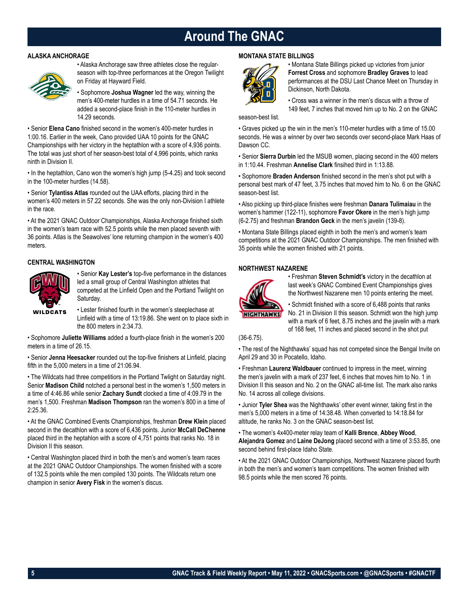## **Around The GNAC**

## **ALASKA ANCHORAGE**



• Alaska Anchorage saw three athletes close the regularseason with top-three performances at the Oregon Twilight on Friday at Hayward Field.

• Sophomore **Joshua Wagner** led the way, winning the men's 400-meter hurdles in a time of 54.71 seconds. He added a second-place finish in the 110-meter hurdles in 14.29 seconds.

• Senior **Elena Cano** finished second in the women's 400-meter hurdles in 1:00.16. Earlier in the week, Cano provided UAA 10 points for the GNAC Championships with her victory in the heptathlon with a score of 4,936 points. The total was just short of her season-best total of 4,996 points, which ranks ninth in Division II.

• In the heptathlon, Cano won the women's high jump (5-4.25) and took second in the 100-meter hurdles (14.58).

• Senior **Tylantiss Atlas** rounded out the UAA efforts, placing third in the women's 400 meters in 57.22 seconds. She was the only non-Division I athlete in the race.

• At the 2021 GNAC Outdoor Championships, Alaska Anchorage finished sixth in the women's team race with 52.5 points while the men placed seventh with 36 points. Atlas is the Seawolves' lone returning champion in the women's 400 meters.

## **CENTRAL WASHINGTON**



• Senior **Kay Lester's** top-five performance in the distances led a small group of Central Washington athletes that competed at the Linfield Open and the Portland Twilight on Saturday.

• Lester finished fourth in the women's steeplechase at Linfield with a time of 13:19.86. She went on to place sixth in the 800 meters in 2:34.73.

• Sophomore **Juliette Williams** added a fourth-place finish in the women's 200 meters in a time of 26.15.

• Senior **Jenna Heesacker** rounded out the top-five finishers at Linfield, placing fifth in the 5,000 meters in a time of 21:06.94.

• The Wildcats had three competitiors in the Portland Twlight on Saturday night. Senior **Madison Child** notched a personal best in the women's 1,500 meters in a time of 4:46.86 while senior **Zachary Sundt** clocked a time of 4:09.79 in the men's 1,500. Freshman **Madison Thompson** ran the women's 800 in a time of 2:25.36.

• At the GNAC Combined Events Championships, freshman **Drew Klein** placed second in the decathlon with a score of 6,436 points. Junior **McCall DeChenne** placed third in the heptahlon with a score of 4,751 points that ranks No. 18 in Division II this season.

• Central Washington placed third in both the men's and women's team races at the 2021 GNAC Outdoor Championships. The women finished with a score of 132.5 points while the men compiled 130 points. The Wildcats return one champion in senior **Avery Fisk** in the women's discus.

## **MONTANA STATE BILLINGS**



• Montana State Billings picked up victories from junior **Forrest Cross** and sophomore **Bradley Graves** to lead performances at the DSU Last Chance Meet on Thursday in Dickinson, North Dakota.

• Cross was a winner in the men's discus with a throw of 149 feet, 7 inches that moved him up to No. 2 on the GNAC

season-best list.

• Graves picked up the win in the men's 110-meter hurdles with a time of 15.00 seconds. He was a winner by over two seconds over second-place Mark Haas of Dawson CC.

• Senior **Sierra Durbin** led the MSUB women, placing second in the 400 meters in 1:10.44. Freshman **Annelise Clark** finsihed third in 1:13.88.

• Sophomore **Braden Anderson** finished second in the men's shot put with a personal best mark of 47 feet, 3.75 inches that moved him to No. 6 on the GNAC season-best list.

• Also picking up third-place finishes were freshman **Danara Tulimaiau** in the women's hammer (122-11), sophomore **Favor Okere** in the men's high jump (6-2.75) and freshman **Brandon Geck** in the men's javelin (139-8).

• Montana State Billings placed eighth in both the men's and women's team competitions at the 2021 GNAC Outdoor Championships. The men finished with 35 points while the women finished with 21 points.

## **NORTHWEST NAZARENE**



• Freshman **Steven Schmidt's** victory in the decathlon at last week's GNAC Combined Event Championships gives the Northwest Nazarene men 10 points entering the meet.

• Schmidt finished with a score of 6,488 points that ranks No. 21 in Division II this season. Schmidt won the high jump with a mark of 6 feet, 8.75 inches and the javelin with a mark of 168 feet, 11 inches and placed second in the shot put

(36-6.75).

• The rest of the Nighthawks' squad has not competed since the Bengal Invite on April 29 and 30 in Pocatello, Idaho.

• Freshman **Laurenz Waldbauer** continued to impress in the meet, winning the men's javelin with a mark of 237 feet, 6 inches that moves him to No. 1 in Division II this season and No. 2 on the GNAC all-time list. The mark also ranks No. 14 across all college divisions.

• Junior **Tyler Shea** was the Nighthawks' other event winner, taking first in the men's 5,000 meters in a time of 14:38.48. When converted to 14:18.84 for altitude, he ranks No. 3 on the GNAC season-best list.

• The women's 4x400-meter relay team of **Kalli Brence**, **Abbey Wood**, **Alejandra Gomez** and **Laine DeJong** placed second with a time of 3:53.85, one second behind first-place Idaho State.

• At the 2021 GNAC Outdoor Championships, Northwest Nazarene placed fourth in both the men's and women's team competitions. The women finished with 98.5 points while the men scored 76 points.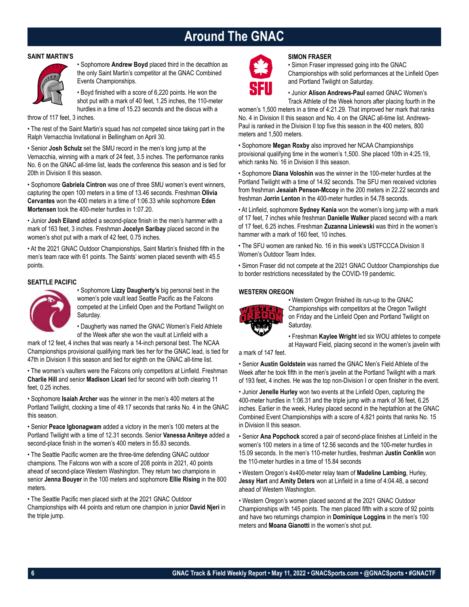## **Around The GNAC**

## **SAINT MARTIN'S**



• Sophomore **Andrew Boyd** placed third in the decathlon as the only Saint Martin's competitor at the GNAC Combined Events Championships.

• Boyd finished with a score of 6,220 points. He won the shot put with a mark of 40 feet, 1.25 inches, the 110-meter hurdles in a time of 15.23 seconds and the discus with a

throw of 117 feet, 3 inches.

• The rest of the Saint Martin's squad has not competed since taking part in the Ralph Vernacchia Invitational in Bellingham on April 30.

• Senior **Josh Schulz** set the SMU record in the men's long jump at the Vernacchia, winning with a mark of 24 feet, 3.5 inches. The performance ranks No. 6 on the GNAC all-time list, leads the conference this season and is tied for 20th in Division II this season.

• Sophomore **Gabriela Cintron** was one of three SMU women's event winners, capturing the open 100 meters in a time of 13.46 seconds. Freshman **Olivia Cervantes** won the 400 meters in a time of 1:06.33 while sophomore **Eden Mortensen** took the 400-meter hurdles in 1:07.20.

• Junior **Josh Eiland** added a second-place finish in the men's hammer with a mark of 163 feet, 3 inches. Freshman **Jocelyn Saribay** placed second in the women's shot put with a mark of 42 feet, 0.75 inches.

• At the 2021 GNAC Outdoor Championships, Saint Martin's finished fifth in the men's team race with 61 points. The Saints' women placed seventh with 45.5 points.

## **SEATTLE PACIFIC**



• Sophomore **Lizzy Daugherty's** big personal best in the women's pole vault lead Seattle Pacific as the Falcons competed at the Linfield Open and the Portland Twilight on Saturday.

• Daugherty was named the GNAC Women's Field Athlete of the Week after she won the vault at Linfield with a

mark of 12 feet, 4 inches that was nearly a 14-inch personal best. The NCAA Championships provisional qualifying mark ties her for the GNAC lead, is tied for 47th in Division II this season and tied for eighth on the GNAC all-time list.

• The women's vaulters were the Falcons only competitors at Linfield. Freshman **Charlie Hill** and senior **Madison Licari** tied for second with both clearing 11 feet, 0.25 inches.

• Sophomore **Isaiah Archer** was the winner in the men's 400 meters at the Portland Twilight, clocking a time of 49.17 seconds that ranks No. 4 in the GNAC this season.

• Senior **Peace Igbonagwam** added a victory in the men's 100 meters at the Portland Twilight with a time of 12.31 seconds. Senior **Vanessa Aniteye** added a second-place finish in the women's 400 meters in 55.83 seconds.

• The Seattle Pacific women are the three-time defending GNAC outdoor champions. The Falcons won with a score of 208 points in 2021, 40 points ahead of second-place Western Washington. They return two champions in senior **Jenna Bouyer** in the 100 meters and sophomore **Ellie Rising** in the 800 meters.

• The Seattle Pacific men placed sixth at the 2021 GNAC Outdoor Championships with 44 points and return one champion in junior **David Njeri** in the triple jump.



## **SIMON FRASER**

• Simon Fraser impressed going into the GNAC Championships with solid performances at the Linfield Open and Portland Twilight on Saturday.

• Junior **Alison Andrews-Paul** earned GNAC Women's Track Athlete of the Week honors after placing fourth in the

women's 1,500 meters in a time of 4:21.29. That improved her mark that ranks No. 4 in Division II this season and No. 4 on the GNAC all-time list. Andrews-Paul is ranked in the Division II top five this season in the 400 meters, 800 meters and 1,500 meters.

• Sophomore **Megan Roxby** also improved her NCAA Championships provisional qualifying time in the women's 1,500. She placed 10th in 4:25.19, which ranks No. 16 in Division II this season.

• Sophomore **Diana Voloshin** was the winner in the 100-meter hurdles at the Portland Twilight with a time of 14.92 seconds. The SFU men received victories from freshman **Jesaiah Penson-Mccoy** in the 200 meters in 22.22 seconds and freshman **Jorrin Lenton** in the 400-meter hurdles in 54.78 seconds.

• At Linfield, sophomore **Sydney Kania** won the women's long jump with a mark of 17 feet, 7 inches while freshman **Danielle Walker** placed second with a mark of 17 feet, 6.25 inches. Freshman **Zuzanna Liniewski** was third in the women's hammer with a mark of 160 feet, 10 inches.

• The SFU women are ranked No. 16 in this week's USTFCCCA Division II Women's Outdoor Team Index.

• Simon Fraser did not compete at the 2021 GNAC Outdoor Championships due to border restrictions necessitated by the COVID-19 pandemic.

## **WESTERN OREGON**



• Western Oregon finished its run-up to the GNAC Championships with competitors at the Oregon Twilight on Friday and the Linfield Open and Portland Twilight on Saturday.

• Freshman **Kaylee Wright** led six WOU athletes to compete at Hayward Field, placing second in the women's javelin with

a mark of 147 feet.

• Senior **Austin Goldstein** was named the GNAC Men's Field Athlete of the Week after he took fifth in the men's javelin at the Portland Twilight with a mark of 193 feet, 4 inches. He was the top non-Division I or open finisher in the event.

• Junior **Jenelle Hurley** won two events at the Linfield Open, capturing the 400-meter hurdles in 1:06.31 and the triple jump with a mark of 36 feet, 6.25 inches. Earlier in the week, Hurley placed second in the heptathlon at the GNAC Combined Event Championships with a score of 4,821 points that ranks No. 15 in Division II this season.

• Senior **Ana Popchock** scored a pair of second-place finishes at Linfield in the women's 100 meters in a time of 12.56 seconds and the 100-meter hurdles in 15.09 seconds. In the men's 110-meter hurdles, freshman **Justin Conklin** won the 110-meter hurdles in a time of 15.84 seconds

• Western Oregon's 4x400-meter relay team of **Madeline Lambing**, Hurley, **Jessy Hart** and **Amity Deters** won at Linfield in a time of 4:04.48, a second ahead of Western Washington.

• Western Oregon's women placed second at the 2021 GNAC Outdoor Championships with 145 points. The men placed fifth with a score of 92 points and have two returnings champion in **Dominique Loggins** in the men's 100 meters and **Moana Gianotti** in the women's shot put.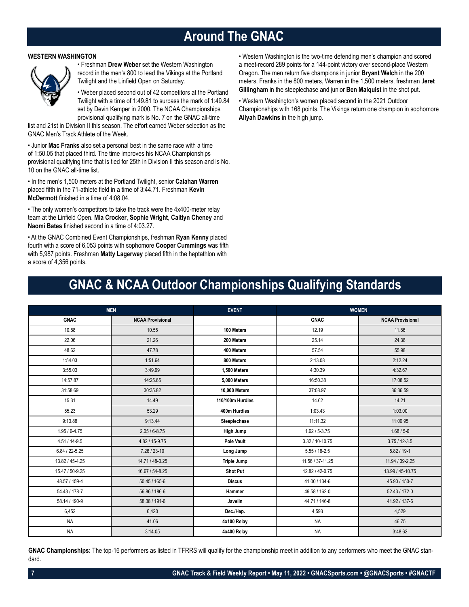## **Around The GNAC**

## **WESTERN WASHINGTON**



• Freshman **Drew Weber** set the Western Washington record in the men's 800 to lead the Vikings at the Portland Twilight and the Linfield Open on Saturday.

• Weber placed second out of 42 competitors at the Portland Twilight with a time of 1:49.81 to surpass the mark of 1:49.84 set by Devin Kemper in 2000. The NCAA Championships provisional qualifying mark is No. 7 on the GNAC all-time

list and 21st in Division II this season. The effort earned Weber selection as the GNAC Men's Track Athlete of the Week.

• Junior **Mac Franks** also set a personal best in the same race with a time of 1:50.05 that placed third. The time improves his NCAA Championships provisional qualifying time that is tied for 25th in Division II this season and is No. 10 on the GNAC all-time list.

• In the men's 1,500 meters at the Portland Twilight, senior **Calahan Warren** placed fifth in the 71-athlete field in a time of 3:44.71. Freshman **Kevin McDermott** finished in a time of 4:08.04.

• The only women's competitors to take the track were the 4x400-meter relay team at the Linfield Open. **Mia Crocker**, **Sophie Wright**, **Caitlyn Cheney** and **Naomi Bates** finished second in a time of 4:03.27.

• At the GNAC Combined Event Championships, freshman **Ryan Kenny** placed fourth with a score of 6,053 points with sophomore **Cooper Cummings** was fifth with 5,987 points. Freshman **Matty Lagerwey** placed fifth in the heptathlon with a score of 4,356 points.

• Western Washington is the two-time defending men's champion and scored a meet-record 289 points for a 144-point victory over second-place Western Oregon. The men return five champions in junior **Bryant Welch** in the 200 meters, Franks in the 800 meters, Warren in the 1,500 meters, freshman J**eret Gillingham** in the steeplechase and junior **Ben Malquist** in the shot put.

• Western Washington's women placed second in the 2021 Outdoor Championships with 168 points. The Vikings return one champion in sophomore **Aliyah Dawkins** in the high jump.

## **GNAC & NCAA Outdoor Championships Qualifying Standards**

|                    | <b>MEN</b>              | <b>EVENT</b>       |                   | <b>WOMEN</b>            |
|--------------------|-------------------------|--------------------|-------------------|-------------------------|
| <b>GNAC</b>        | <b>NCAA Provisional</b> |                    | <b>GNAC</b>       | <b>NCAA Provisional</b> |
| 10.88              | 10.55                   | 100 Meters         | 12.19             | 11.86                   |
| 22.06              | 21.26                   | 200 Meters         | 25.14             | 24.38                   |
| 48.62              | 47.78                   | 400 Meters         | 57.54             | 55.98                   |
| 1:54.03            | 1:51.64                 | 800 Meters         | 2:13.08           | 2:12.24                 |
| 3:55.03            | 3:49.99                 | 1,500 Meters       | 4:30.39           | 4:32.67                 |
| 14:57.87           | 14:25.65                | 5.000 Meters       | 16:50.38          | 17:08.52                |
| 31:58.69           | 30:35.82                | 10,000 Meters      | 37:08.97          | 36:36.59                |
| 15.31              | 14.49                   | 110/100m Hurdles   | 14.62             | 14.21                   |
| 55.23              | 53.29                   | 400m Hurdles       | 1:03.43           | 1:03.00                 |
| 9:13.88            | 9:13.44                 | Steeplechase       | 11:11.32          | 11:00.95                |
| $1.95/6 - 4.75$    | $2.05/6 - 8.75$         | High Jump          | $1.62 / 5 - 3.75$ | $1.68 / 5 - 6$          |
| $4.51/14-9.5$      | 4.82 / 15-9.75          | Pole Vault         | 3.32 / 10-10.75   | $3.75/12 - 3.5$         |
| $6.84 / 22 - 5.25$ | $7.26 / 23 - 10$        | Long Jump          | $5.55 / 18 - 2.5$ | $5.82 / 19 - 1$         |
| 13.82 / 45-4.25    | 14.71 / 48-3.25         | <b>Triple Jump</b> | 11.56 / 37-11.25  | 11.94 / 39-2.25         |
| 15.47 / 50-9.25    | 16.67 / 54-8.25         | <b>Shot Put</b>    | 12.82 / 42-0.75   | 13.99 / 45-10.75        |
| 48.57 / 159-4      | 50.45 / 165-6           | <b>Discus</b>      | 41.00 / 134-6     | 45.90 / 150-7           |
| 54.43 / 178-7      | 56.86 / 186-6           | Hammer             | 49.58 / 162-0     | 52.43 / 172-0           |
| 58.14 / 190-9      | 58.38 / 191-6           | Javelin            | 44.71 / 146-8     | 41.92 / 137-6           |
| 6,452              | 6,420                   | Dec./Hep.          | 4,593             | 4,529                   |
| <b>NA</b>          | 41.06                   | 4x100 Relay        | <b>NA</b>         | 46.75                   |
| <b>NA</b>          | 3:14.05                 | 4x400 Relay        | <b>NA</b>         | 3:48.62                 |

**GNAC Championships:** The top-16 performers as listed in TFRRS will qualify for the championship meet in addition to any performers who meet the GNAC standard.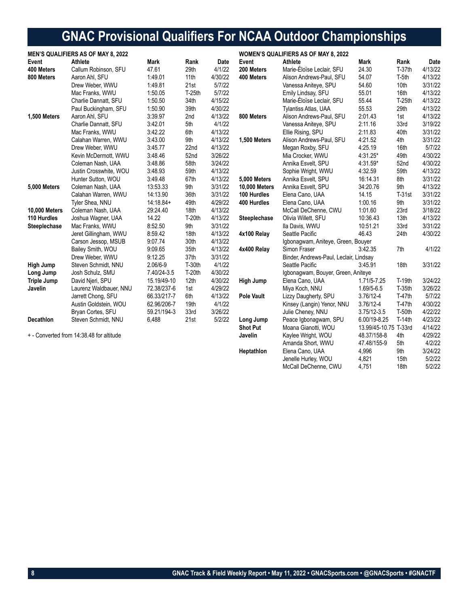# **GNAC Provisional Qualifiers For NCAA Outdoor Championships**

| <b>MEN'S QUALIFIERS AS OF MAY 8, 2022</b> |                                          |             |          |         | <b>WOMEN'S QUALIFIERS AS OF MAY 8, 2022</b> |                                        |                       |                  |         |
|-------------------------------------------|------------------------------------------|-------------|----------|---------|---------------------------------------------|----------------------------------------|-----------------------|------------------|---------|
| Event                                     | <b>Athlete</b>                           | <b>Mark</b> | Rank     | Date    | Event                                       | Athlete                                | <b>Mark</b>           | Rank             | Date    |
| 400 Meters                                | Callum Robinson, SFU                     | 47.61       | 29th     | 4/1/22  | 200 Meters                                  | Marie-Éloïse Leclair, SFU              | 24.30                 | $T-37th$         | 4/13/22 |
| 800 Meters                                | Aaron Ahl, SFU                           | 1:49.01     | 11th     | 4/30/22 | 400 Meters                                  | Alison Andrews-Paul, SFU               | 54.07                 | T-5th            | 4/13/22 |
|                                           | Drew Weber, WWU                          | 1:49.81     | 21st     | 5/7/22  |                                             | Vanessa Aniteye, SPU                   | 54.60                 | 10 <sub>th</sub> | 3/31/22 |
|                                           | Mac Franks, WWU                          | 1:50.05     | $T-25th$ | 5/7/22  |                                             | Emily Lindsay, SFU                     | 55.01                 | 16th             | 4/13/22 |
|                                           | Charlie Dannatt, SFU                     | 1:50.50     | 34th     | 4/15/22 |                                             | Marie-Éloïse Leclair, SFU              | 55.44                 | $T-25th$         | 4/13/22 |
|                                           | Paul Buckingham, SFU                     | 1:50.90     | 39th     | 4/30/22 |                                             | <b>Tylantiss Atlas, UAA</b>            | 55.53                 | 29th             | 4/13/22 |
| 1,500 Meters                              | Aaron Ahl, SFU                           | 3:39.97     | 2nd      | 4/13/22 | 800 Meters                                  | Alison Andrews-Paul, SFU               | 2:01.43               | 1st              | 4/13/22 |
|                                           | Charlie Dannatt, SFU                     | 3:42.01     | 5th      | 4/1/22  |                                             | Vanessa Aniteye, SPU                   | 2:11.16               | 33rd             | 3/19/22 |
|                                           | Mac Franks, WWU                          | 3:42.22     | 6th      | 4/13/22 |                                             | Ellie Rising, SPU                      | 2:11.83               | 40th             | 3/31/22 |
|                                           | Calahan Warren, WWU                      | 3:43.00     | 9th      | 4/13/22 | 1,500 Meters                                | Alison Andrews-Paul, SFU               | 4:21.52               | 4th              | 3/31/22 |
|                                           | Drew Weber, WWU                          | 3:45.77     | 22nd     | 4/13/22 |                                             | Megan Roxby, SFU                       | 4:25.19               | 16th             | 5/7/22  |
|                                           | Kevin McDermott, WWU                     | 3:48.46     | 52nd     | 3/26/22 |                                             | Mia Crocker, WWU                       | 4:31.25*              | 49th             | 4/30/22 |
|                                           | Coleman Nash, UAA                        | 3:48.86     | 58th     | 3/24/22 |                                             | Annika Esvelt, SPU                     | 4:31.59*              | 52nd             | 4/30/22 |
|                                           | Justin Crosswhite, WOU                   | 3:48.93     | 59th     | 4/13/22 |                                             | Sophie Wright, WWU                     | 4:32.59               | 59th             | 4/13/22 |
|                                           | Hunter Sutton, WOU                       | 3:49.48     | 67th     | 4/13/22 | 5,000 Meters                                | Annika Esvelt, SPU                     | 16:14.31              | 8th              | 3/31/22 |
| <b>5,000 Meters</b>                       | Coleman Nash, UAA                        | 13:53.33    | 9th      | 3/31/22 | <b>10,000 Meters</b>                        | Annika Esvelt, SPU                     | 34:20.76              | 9th              | 4/13/22 |
|                                           | Calahan Warren, WWU                      | 14:13.90    | 36th     | 3/31/22 | 100 Hurdles                                 | Elena Cano, UAA                        | 14.15                 | $T-31st$         | 3/31/22 |
|                                           | Tyler Shea, NNU                          | $14:18.84+$ | 49th     | 4/29/22 | 400 Hurdles                                 | Elena Cano, UAA                        | 1:00.16               | 9th              | 3/31/22 |
| <b>10,000 Meters</b>                      | Coleman Nash, UAA                        | 29:24.40    | 18th     | 4/13/22 |                                             | McCall DeChenne, CWU                   | 1:01.60               | 23rd             | 3/18/22 |
| 110 Hurdles                               | Joshua Wagner, UAA                       | 14.22       | $T-20th$ | 4/13/22 | Steeplechase                                | Olivia Willett, SFU                    | 10:36.43              | 13th             | 4/13/22 |
| Steeplechase                              | Mac Franks, WWU                          | 8:52.50     | 9th      | 3/31/22 |                                             | Ila Davis, WWU                         | 10:51.21              | 33rd             | 3/31/22 |
|                                           | Jeret Gillingham, WWU                    | 8:59.42     | 18th     | 4/13/22 | 4x100 Relay                                 | Seattle Pacific                        | 46.43                 | 24th             | 4/30/22 |
|                                           | Carson Jessop, MSUB                      | 9:07.74     | 30th     | 4/13/22 |                                             | Igbonagwam, Aniteye, Green, Bouyer     |                       |                  |         |
|                                           | Bailey Smith, WOU                        | 9:09.65     | 35th     | 4/13/22 | 4x400 Relay                                 | Simon Fraser                           | 3:42.35               | 7th              | 4/1/22  |
|                                           | Drew Weber, WWU                          | 9:12.25     | 37th     | 3/31/22 |                                             | Binder, Andrews-Paul, Leclair, Lindsay |                       |                  |         |
| High Jump                                 | Steven Schmidt, NNU                      | 2.06/6-9    | $T-30th$ | 4/1/22  |                                             | Seattle Pacific                        | 3:45.91               | 18th             | 3/31/22 |
| Long Jump                                 | Josh Schulz, SMU                         | 7.40/24-3.5 | T-20th   | 4/30/22 |                                             | Igbonagwam, Bouyer, Green, Aniteye     |                       |                  |         |
| <b>Triple Jump</b>                        | David Njeri, SPU                         | 15.19/49-10 | 12th     | 4/30/22 | High Jump                                   | Elena Cano, UAA                        | 1.71/5-7.25           | T-19th           | 3/24/22 |
| Javelin                                   | Laurenz Waldbauer, NNU                   | 72.38/237-6 | 1st      | 4/29/22 |                                             | Miya Koch, NNU                         | 1.69/5-6.5            | $T-35th$         | 3/26/22 |
|                                           | Jarrett Chong, SFU                       | 66.33/217-7 | 6th      | 4/13/22 | <b>Pole Vault</b>                           | Lizzy Daugherty, SPU                   | 3.76/12-4             | <b>T-47th</b>    | 5/7/22  |
|                                           | Austin Goldstein, WOU                    | 62.96/206-7 | 19th     | 4/1/22  |                                             | Kinsey (Langin) Yenor, NNU             | $3.76/12 - 4$         | $T-47th$         | 4/30/22 |
|                                           | Bryan Cortes, SFU                        | 59.21/194-3 | 33rd     | 3/26/22 |                                             | Julie Cheney, NNU                      | $3.75/12 - 3.5$       | T-50th           | 4/22/22 |
| Decathlon                                 | Steven Schmidt, NNU                      | 6,488       | 21st     | 5/2/22  | Long Jump                                   | Peace Igbonagwam, SPU                  | 6.00/19-8.25          | $T-14th$         | 4/23/22 |
|                                           |                                          |             |          |         | <b>Shot Put</b>                             | Moana Gianotti, WOU                    | 13.99/45-10.75 T-33rd |                  | 4/14/22 |
|                                           | + - Converted from 14:38.48 for altitude |             |          |         | Javelin                                     | Kaylee Wright, WOU                     | 48.37/158-8           | 4th              | 4/29/22 |
|                                           |                                          |             |          |         |                                             | Amanda Short, WWU                      | 47.48/155-9           | 5th              | 4/2/22  |
|                                           |                                          |             |          |         | Heptathlon                                  | Elena Cano, UAA                        | 4,996                 | 9th              | 3/24/22 |

Jenelle Hurley, WOU 4,821 15th 5/2/22 McCall DeChenne, CWU 4,751 18th 5/2/22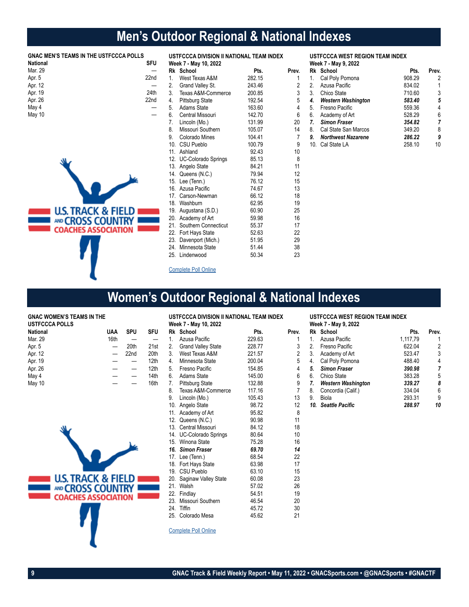# **Men's Outdoor Regional & National Indexes**

## **GNAC MEN'S TEAMS IN THE USTFCCCA POLLS**

| <b>National</b> | SFU  |
|-----------------|------|
| Mar. 29         |      |
| Apr. 5          | 22nd |
| Apr. 12         |      |
| Apr. 19         | 24th |
| Apr. 26         | 22nd |
| May 4           |      |
| May 10          |      |



| USTFCCCA DIVISION II NATIONAL TEAM INDEX<br>Week 7 - May 10, 2022 |                          |        |                |
|-------------------------------------------------------------------|--------------------------|--------|----------------|
|                                                                   | Rk School                | Pts.   | Prev.          |
| $1_{\ldots}$                                                      | West Texas A&M           | 282.15 | 1              |
| 2.                                                                | Grand Valley St.         | 243.46 | $\overline{c}$ |
| 3.                                                                | Texas A&M-Commerce       | 200.85 | 3              |
| 4.                                                                | <b>Pittsburg State</b>   | 192.54 | 5              |
| 5.                                                                | Adams State              | 163.60 | 4              |
| 6.                                                                | Central Missouri         | 142.70 | 6              |
| 7.                                                                | Lincoln (Mo.)            | 131.99 | 20             |
| 8.                                                                | Missouri Southern        | 105.07 | 14             |
| 9.                                                                | Colorado Mines           | 104.41 | $\overline{7}$ |
|                                                                   | 10. CSU Pueblo           | 100.79 | 9              |
|                                                                   | 11. Ashland              | 92.43  | 10             |
|                                                                   | 12. UC-Colorado Springs  | 85.13  | 8              |
|                                                                   | 13. Angelo State         | 84.21  | 11             |
|                                                                   | 14. Queens (N.C.)        | 79.94  | 12             |
|                                                                   | 15. Lee (Tenn.)          | 76.12  | 15             |
|                                                                   | 16. Azusa Pacific        | 74.67  | 13             |
|                                                                   | 17. Carson-Newman        | 66.12  | 18             |
|                                                                   | 18. Washburn             | 62.95  | 19             |
|                                                                   | 19. Augustana (S.D.)     | 60.90  | 25             |
|                                                                   | 20. Academy of Art       | 59.98  | 16             |
|                                                                   | 21. Southern Connecticut | 55.37  | 17             |
|                                                                   | 22. Fort Hays State      | 52.63  | 22             |
| 23.                                                               | Davenport (Mich.)        | 51.95  | 29             |
|                                                                   | 24. Minnesota State      | 51.44  | 38             |
| 25.                                                               | Lindenwood               | 50.34  | 23             |

## **USTFCCCA WEST REGION TEAM INDEX**

|     | Week 7 - May 9, 2022      |        |       |
|-----|---------------------------|--------|-------|
|     | Rk School                 | Pts.   | Prev. |
| 1.  | Cal Poly Pomona           | 908.29 | 2     |
| 2.  | Azusa Pacific             | 834.02 | 1     |
| 3.  | Chico State               | 710.60 | 3     |
| 4.  | <b>Western Washington</b> | 583.40 | 5     |
| 5.  | Fresno Pacific            | 559.36 | 4     |
| 6.  | Academy of Art            | 528.29 | 6     |
| 7.  | <b>Simon Fraser</b>       | 354.82 | 7     |
| 8.  | Cal State San Marcos      | 349.20 | 8     |
| 9.  | Northwest Nazarene        | 286.22 | 9     |
| 10. | Cal State LA              | 258.10 | 10    |

## Complete Poll Online

## **Women's Outdoor Regional & National Indexes**

## **GNAC WOMEN'S TEAMS IN THE**

| <b>USTFCCCA POLLS</b> |      |                  |                  |
|-----------------------|------|------------------|------------------|
| <b>National</b>       | UAA  | <b>SPU</b>       | <b>SFU</b>       |
| Mar. 29               | 16th |                  |                  |
| Apr. 5                |      | 20th             | 21st             |
| Apr. 12               |      | 22 <sub>nd</sub> | 20th             |
| Apr. 19               |      |                  | 12 <sub>th</sub> |
| Apr. 26               |      |                  | 12 <sub>th</sub> |
| May 4                 |      |                  | 14th             |
| May 10                |      |                  | 16th             |



| USTFCCCA DIVISION II NATIONAL TEAM INDEX<br>Week 7 - May 10, 2022 |                           |        |                |
|-------------------------------------------------------------------|---------------------------|--------|----------------|
| Rk                                                                | School                    | Pts.   | Prev.          |
| 1 <sup>1</sup>                                                    | Azusa Pacific             | 229.63 | 1              |
| 2.                                                                | <b>Grand Valley State</b> | 228.77 | 3              |
| 3.                                                                | West Texas A&M            | 221.57 | $\overline{c}$ |
| 4.                                                                | Minnesota State           | 200.04 | 5              |
| 5.                                                                | Fresno Pacific            | 154.85 | 4              |
| 6.                                                                | Adams State               | 145.00 | 6              |
| 7.                                                                | Pittsburg State           | 132.88 | 9              |
| 8.                                                                | Texas A&M-Commerce        | 117.16 | $\overline{7}$ |
| 9.                                                                | Lincoln (Mo.)             | 105.43 | 13             |
|                                                                   | 10. Angelo State          | 98.72  | 12             |
|                                                                   | 11. Academy of Art        | 95.82  | 8              |
|                                                                   | 12. Queens (N.C.)         | 90.98  | 11             |
|                                                                   | 13. Central Missouri      | 84.12  | 18             |
|                                                                   | 14. UC-Colorado Springs   | 80.64  | 10             |
|                                                                   | 15. Winona State          | 75.28  | 16             |
|                                                                   | 16. Simon Fraser          | 69.70  | 14             |
|                                                                   | 17. Lee (Tenn.)           | 68.54  | 22             |
|                                                                   | 18. Fort Hays State       | 63.98  | 17             |
|                                                                   | 19. CSU Pueblo            | 63.10  | 15             |
|                                                                   | 20. Saginaw Valley State  | 60.08  | 23             |
|                                                                   | 21. Walsh                 | 57.02  | 26             |
|                                                                   | 22. Findlay               | 54.51  | 19             |
|                                                                   | 23. Missouri Southern     | 46.54  | 20             |
|                                                                   | 24. Tiffin                | 45.72  | 30             |
|                                                                   | 25. Colorado Mesa         | 45.62  | 21             |
|                                                                   |                           |        |                |

Complete Poll Online

#### **USTFCCCA WEST REGION TEAM INDEX Week 7 - May 9, 2022**

|    | Rk School                 | Pts.     | Prev. |
|----|---------------------------|----------|-------|
| 1. | Azusa Pacific             | 1,117,79 |       |
| 2. | Fresno Pacific            | 622.04   | 2     |
| 3. | Academy of Art            | 523.47   | 3     |
| 4. | Cal Poly Pomona           | 488.40   | 4     |
| 5. | <b>Simon Fraser</b>       | 390.98   | 7     |
| 6. | Chico State               | 383.28   | 5     |
| 7. | <b>Western Washington</b> | 339.27   | 8     |
| 8. | Concordia (Calif.)        | 334.04   | 6     |
| 9. | Biola                     | 293.31   | 9     |
|    | 10. Seattle Pacific       | 288.97   | 10    |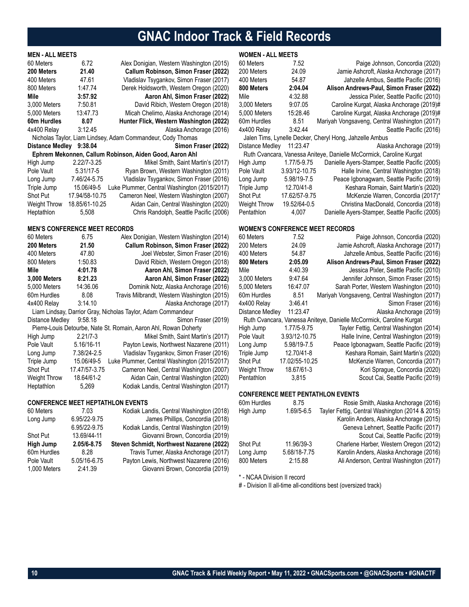# **GNAC Indoor Track & Field Records**

## **MEN - ALL MEETS**

| 60 Meters                                                   | 6.72                                 | Alex Donigian, Western Washington (2015)                |  |
|-------------------------------------------------------------|--------------------------------------|---------------------------------------------------------|--|
| 200 Meters                                                  | 21.40                                | Callum Robinson, Simon Fraser (2022)                    |  |
| 400 Meters                                                  | 47.61                                | Vladislav Tsygankov, Simon Fraser (2017)                |  |
| 800 Meters                                                  | 1:47.74                              | Derek Holdsworth, Western Oregon (2020)                 |  |
| Mile                                                        | 3:57.92                              | Aaron Ahl, Simon Fraser (2022)                          |  |
| 3,000 Meters                                                | 7:50.81                              | David Ribich, Western Oregon (2018)                     |  |
| 5,000 Meters                                                | 13:47.73                             | Micah Chelimo, Alaska Anchorage (2014)                  |  |
| 60m Hurdles                                                 | 8.07                                 | Hunter Flick, Western Washington (2022)                 |  |
| 4x400 Relay                                                 | 3:12.45                              | Alaska Anchorage (2016)                                 |  |
| Nicholas Taylor, Liam Lindsey, Adam Commandeur, Cody Thomas |                                      |                                                         |  |
| <b>Distance Medley</b>                                      | 9:38.04                              | Simon Fraser (2022)                                     |  |
|                                                             |                                      | Ephrem Mekonnen, Callum Robinson, Aiden Good, Aaron Ahl |  |
| High Jump                                                   | $2.22/7 - 3.25$                      | Mikel Smith, Saint Martin's (2017)                      |  |
| Pole Vault                                                  | 5.31/17-5                            | Ryan Brown, Western Washington (2011)                   |  |
| Long Jump                                                   | 7.46/24-5.75                         | Vladislav Tsygankov, Simon Fraser (2016)                |  |
| Triple Jump                                                 | 15.06/49-5                           | Luke Plummer, Central Washington (2015/2017)            |  |
| Shot Put                                                    | 17.94/58-10.75                       | Cameron Neel, Western Washington (2007)                 |  |
| <b>Weight Throw</b>                                         | 18.85/61-10.25                       | Aidan Cain, Central Washington (2020)                   |  |
| Heptathlon                                                  | 5,508                                | Chris Randolph, Seattle Pacific (2006)                  |  |
|                                                             |                                      |                                                         |  |
|                                                             | <b>MEN'S CONFERENCE MEET RECORDS</b> |                                                         |  |
| 60 Meters                                                   | 6.75                                 | Alex Donigian, Western Washington (2014)                |  |
| 200 Meters                                                  | 21.50                                | Callum Robinson, Simon Fraser (2022)                    |  |

| 200 Meters          | 21.50         | Callum Robinson, Simon Fraser (2022)                             |
|---------------------|---------------|------------------------------------------------------------------|
| 400 Meters          | 47.80         | Joel Webster, Simon Fraser (2016)                                |
| 800 Meters          | 1:50.83       | David Ribich, Western Oregon (2018)                              |
| Mile                | 4:01.78       | Aaron Ahl, Simon Fraser (2022)                                   |
| 3,000 Meters        | 8:21.23       | Aaron Ahl, Simon Fraser (2022)                                   |
| 5,000 Meters        | 14:36.06      | Dominik Notz, Alaska Anchorage (2016)                            |
| 60m Hurdles         | 8.08          | Travis Milbrandt, Western Washington (2015)                      |
| 4x400 Relay         | 3:14.10       | Alaska Anchorage (2017)                                          |
|                     |               | Liam Lindsay, Darrior Gray, Nicholas Taylor, Adam Commandeur     |
| Distance Medley     | 9:58.18       | Simon Fraser (2019)                                              |
|                     |               | Pierre-Louis Detourbe, Nate St. Romain, Aaron Ahl, Rowan Doherty |
| High Jump           | $2.21/7 - 3$  | Mikel Smith, Saint Martin's (2017)                               |
| Pole Vault          | 5.16/16-11    | Payton Lewis, Northwest Nazarene (2011)                          |
| Long Jump           | 7.38/24-2.5   | Vladislav Tsygankov, Simon Fraser (2016)                         |
| Triple Jump         | 15.06/49-5    | Luke Plummer, Central Washington (2015/2017)                     |
| <b>Shot Put</b>     | 17.47/57-3.75 | Cameron Neel, Central Washington (2007)                          |
| <b>Weight Throw</b> | 18.64/61-2    | Aidan Cain, Central Washington (2020)                            |
| Heptathlon          | 5,269         | Kodiak Landis, Central Washington (2017)                         |

### **CONFERENCE MEET HEPTATHLON EVENTS**

| 60 Meters   | 7.03         | Kodiak Landis, Central Washington (2018)  |
|-------------|--------------|-------------------------------------------|
| Long Jump   | 6.95/22-9.75 | James Phillips, Concordia (2018)          |
|             | 6.95/22-9.75 | Kodiak Landis, Central Washington (2019)  |
| Shot Put    | 13.69/44-11  | Giovanni Brown, Concordia (2019)          |
|             |              |                                           |
| High Jump   | 2.05/6-8.75  | Steven Schmidt, Northwest Nazarene (2022) |
| 60m Hurdles | 8.28         | Travis Turner, Alaska Anchorage (2017)    |
| Pole Vault  | 5.05/16-6.75 | Payton Lewis, Northwest Nazarene (2016)   |

## **WOMEN - ALL MEETS**

| 60 Meters                              | 7.52          | Paige Johnson, Concordia (2020)                                     |
|----------------------------------------|---------------|---------------------------------------------------------------------|
| 200 Meters                             | 24.09         | Jamie Ashcroft, Alaska Anchorage (2017)                             |
| 400 Meters                             | 54.87         | Jahzelle Ambus, Seattle Pacific (2016)                              |
| 800 Meters                             | 2:04.04       | Alison Andrews-Paul, Simon Fraser (2022)                            |
| Mile                                   | 4:32.88       | Jessica Pixler, Seattle Pacific (2010)                              |
| 3,000 Meters                           | 9:07.05       | Caroline Kurgat, Alaska Anchorage (2019)#                           |
| 5,000 Meters                           | 15:28.46      | Caroline Kurgat, Alaska Anchorage (2019)#                           |
| 60m Hurdles                            | 8.51          | Mariyah Vongsaveng, Central Washington (2017)                       |
| 4x400 Relay                            | 3:42.44       | Seattle Pacific (2016)                                              |
|                                        |               | Jalen Tims, Lynelle Decker, Cheryl Hong, Jahzelle Ambus             |
| <b>Distance Medley</b>                 | 11:23.47      | Alaska Anchorage (2019)                                             |
|                                        |               | Ruth Cvancara, Vanessa Aniteye, Danielle McCormick, Caroline Kurgat |
| High Jump                              | 1.77/5-9.75   | Danielle Ayers-Stamper, Seattle Pacific (2005)                      |
| Pole Vault                             | 3.93/12-10.75 | Halle Irvine, Central Washington (2018)                             |
| Long Jump                              | 5.98/19-7.5   | Peace Igbonagwam, Seattle Pacific (2019)                            |
| Triple Jump                            | 12.70/41-8    | Keshara Romain, Saint Martin's (2020)                               |
| Shot Put                               | 17.62/57-9.75 | McKenzie Warren, Concordia (2017)*                                  |
| <b>Weight Throw</b>                    | 19.52/64-0.5  | Christina MacDonald, Concordia (2018)                               |
| Pentathlon                             | 4.007         | Danielle Ayers-Stamper, Seattle Pacific (2005)                      |
| <b>WOMEN'S CONFERENCE MEET RECORDS</b> |               |                                                                     |
| 60 Meters                              | 7.52          | Paige Johnson, Concordia (2020)                                     |
| 200 Meters                             | 24.09         | Jamie Ashcroft, Alaska Anchorage (2017)                             |
| 400 Meters                             | 54.87         | Jahzelle Ambus, Seattle Pacific (2016)                              |
| 800 Meters                             | 2:05.09       | Alison Andrews-Paul, Simon Fraser (2022)                            |
| Mile                                   | 4:40.39       | Jessica Pixler, Seattle Pacific (2010)                              |
| 3,000 Meters                           | 9:47.64       | Jennifer Johnson, Simon Fraser (2015)                               |
| 5,000 Meters                           | 16:47.07      | Sarah Porter, Western Washington (2010)                             |
| 60m Hurdles                            | 8.51          | Mariyah Vongsaveng, Central Washington (2017)                       |
| 4x400 Relay                            | 3:46.41       | Simon Fraser (2016)                                                 |
| <b>Distance Medley</b>                 | 11:23.47      | Alaska Anchorage (2019)<br>$\cdot$ $\cdot$ $\cdot$ $\sim$           |

| 60 Meters       | 7.52           | Paige Johnson, Concordia (2020)                                     |
|-----------------|----------------|---------------------------------------------------------------------|
| 200 Meters      | 24.09          | Jamie Ashcroft, Alaska Anchorage (2017)                             |
| 400 Meters      | 54.87          | Jahzelle Ambus, Seattle Pacific (2016)                              |
| 800 Meters      | 2:05.09        | Alison Andrews-Paul, Simon Fraser (2022)                            |
| Mile            | 4:40.39        | Jessica Pixler, Seattle Pacific (2010)                              |
| 3,000 Meters    | 9:47.64        | Jennifer Johnson, Simon Fraser (2015)                               |
| 5.000 Meters    | 16:47.07       | Sarah Porter, Western Washington (2010)                             |
| 60m Hurdles     | 8.51           | Mariyah Vongsaveng, Central Washington (2017)                       |
| 4x400 Relay     | 3:46.41        | Simon Fraser (2016)                                                 |
| Distance Medley | 11:23.47       | Alaska Anchorage (2019)                                             |
|                 |                | Ruth Cvancara, Vanessa Aniteye, Danielle McCormick, Caroline Kurgat |
| High Jump       | 1.77/5-9.75    | Tayler Fettig, Central Washington (2014)                            |
| Pole Vault      | 3.93/12-10.75  | Halle Irvine, Central Washington (2019)                             |
| Long Jump       | 5.98/19-7.5    | Peace Igbonagwam, Seattle Pacific (2019)                            |
| Triple Jump     | 12.70/41-8     | Keshara Romain, Saint Martin's (2020)                               |
| Shot Put        | 17.02/55-10.25 | McKenzie Warren, Concordia (2017)                                   |
| Weight Throw    | 18.67/61-3     | Kori Sprague, Concordia (2020)                                      |
| Pentathlon      | 3,815          | Scout Cai, Seattle Pacific (2019)                                   |
|                 |                |                                                                     |

## **CONFERENCE MEET PENTATHLON EVENTS**

| 60m Hurdles | 8.75         | Rosie Smith, Alaska Anchorage (2016)            |
|-------------|--------------|-------------------------------------------------|
| High Jump   | 1.69/5-6.5   | Tayler Fettig, Central Washington (2014 & 2015) |
|             |              | Karolin Anders, Alaska Anchorage (2015)         |
|             |              | Geneva Lehnert, Seattle Pacific (2017)          |
|             |              | Scout Cai, Seattle Pacific (2019)               |
| Shot Put    | 11.96/39-3   | Charlene Harber, Western Oregon (2012)          |
| Long Jump   | 5.68/18-7.75 | Karolin Anders, Alaska Anchorage (2016)         |
| 800 Meters  | 2:15.88      | Ali Anderson, Central Washington (2017)         |
|             |              |                                                 |

\* - NCAA Division II record

# - Division II all-time all-conditions best (oversized track)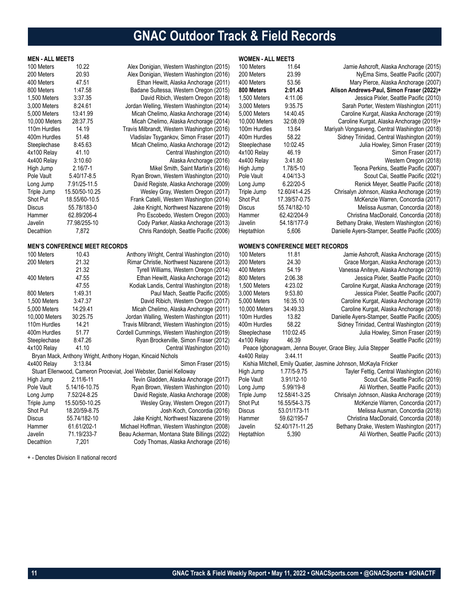# **GNAC Outdoor Track & Field Records**

| <b>MEN - ALL MEETS</b> |                                      |                                                                    | <b>WOMEN - ALL MEETS</b> |                                        |                                                                  |
|------------------------|--------------------------------------|--------------------------------------------------------------------|--------------------------|----------------------------------------|------------------------------------------------------------------|
| 100 Meters             | 10.22                                | Alex Donigian, Western Washington (2015)                           | 100 Meters               | 11.64                                  | Jamie Ashcroft, Alaska Anchorage (2015)                          |
| 200 Meters             | 20.93                                | Alex Donigian, Western Washington (2016)                           | 200 Meters               | 23.99                                  | NyEma Sims, Seattle Pacific (2007)                               |
| 400 Meters             | 47.51                                | Ethan Hewitt, Alaska Anchorage (2011)                              | 400 Meters               | 53.56                                  | Mary Pierce, Alaska Anchorage (2007)                             |
| 800 Meters             | 1:47.58                              | Badane Sultessa, Western Oregon (2015)                             | 800 Meters               | 2:01.43                                | Alison Andrews-Paul, Simon Fraser (2022)+                        |
| 1,500 Meters           | 3:37.35                              | David Ribich, Western Oregon (2018)                                | 1,500 Meters             | 4:11.06                                | Jessica Pixler, Seattle Pacific (2010)                           |
| 3,000 Meters           | 8:24.61                              | Jordan Welling, Western Washington (2014)                          | 3,000 Meters             | 9:35.75                                | Sarah Porter, Western Washington (2011)                          |
| 5,000 Meters           | 13:41.99                             | Micah Chelimo, Alaska Anchorage (2014)                             | 5,000 Meters             | 14:40.45                               | Caroline Kurgat, Alaska Anchorage (2019)                         |
| 10,000 Meters          | 28:37.75                             | Micah Chelimo, Alaska Anchorage (2014)                             | 10,000 Meters            | 32:08.09                               | Caroline Kurgat, Alaska Anchorage (2019)+                        |
| 110m Hurdles           | 14.19                                | Travis Milbrandt, Western Washington (2016)                        | 100m Hurdles             | 13.64                                  | Mariyah Vongsaveng, Central Washington (2018)                    |
| 400m Hurdles           | 51.48                                | Vladislav Tsygankov, Simon Fraser (2017)                           | 400m Hurdles             | 58.22                                  | Sidney Trinidad, Central Washington (2019)                       |
| Steeplechase           | 8:45.63                              | Micah Chelimo, Alaska Anchorage (2012)                             | Steeplechase             | 10:02.45                               | Julia Howley, Simon Fraser (2019)                                |
| 4x100 Relay            | 41.10                                | Central Washington (2010)                                          | 4x100 Relay              | 46.19                                  | Simon Fraser (2017)                                              |
| 4x400 Relay            | 3:10.60                              | Alaska Anchorage (2016)                                            | 4x400 Relay              | 3:41.80                                | Western Oregon (2018)                                            |
| High Jump              | $2.16/7 - 1$                         | Mikel Smith, Saint Martin's (2016)                                 | High Jump                | 1.78/5-10                              | Teona Perkins, Seattle Pacific (2007)                            |
| Pole Vault             | 5.40/17-8.5                          | Ryan Brown, Western Washington (2010)                              | Pole Vault               | 4.04/13-3                              | Scout Cai, Seattle Pacific (2021)                                |
| Long Jump              | 7.91/25-11.5                         | David Registe, Alaska Anchorage (2009)                             | Long Jump                | $6.22/20 - 5$                          | Renick Meyer, Seattle Pacific (2018)                             |
| Triple Jump            | 15.50/50-10.25                       | Wesley Gray, Western Oregon (2017)                                 | Triple Jump              | 12.60/41-4.25                          | Chrisalyn Johnson, Alaska Anchorage (2019)                       |
| Shot Put               | 18.55/60-10.5                        | Frank Catelli, Western Washington (2014)                           | Shot Put                 | 17.39/57-0.75                          | McKenzie Warren, Concordia (2017)                                |
| <b>Discus</b>          | 55.78/183-0                          | Jake Knight, Northwest Nazarene (2019)                             | Discus                   | 55.74/182-10                           | Melissa Ausman, Concordia (2018)                                 |
| Hammer                 | 62.89/206-4                          | Pro Escobedo, Western Oregon (2003)                                | Hammer                   | 62.42/204-9                            | Christina MacDonald, Concordia (2018)                            |
| Javelin                | 77.98/255-10                         | Cody Parker, Alaska Anchorage (2013)                               | Javelin                  | 54.18/177-9                            | Bethany Drake, Western Washington (2016)                         |
| Decathlon              | 7,872                                | Chris Randolph, Seattle Pacific (2006)                             | Heptathlon               | 5,606                                  | Danielle Ayers-Stamper, Seattle Pacific (2005)                   |
|                        | <b>MEN'S CONFERENCE MEET RECORDS</b> |                                                                    |                          | <b>WOMEN'S CONFERENCE MEET RECORDS</b> |                                                                  |
| 100 Meters             | 10.43                                | Anthony Wright, Central Washington (2010)                          | 100 Meters               | 11.81                                  | Jamie Ashcroft, Alaska Anchorage (2015)                          |
| 200 Meters             | 21.32                                | Rimar Christie, Northwest Nazarene (2013)                          | 200 Meters               | 24.30                                  | Grace Morgan, Alaska Anchorage (2013)                            |
|                        | 21.32                                | Tyrell Williams, Western Oregon (2014)                             | 400 Meters               | 54.19                                  | Vanessa Aniteye, Alaska Anchorage (2019)                         |
| 400 Meters             | 47.55                                | Ethan Hewitt, Alaska Anchorage (2012)                              | 800 Meters               | 2:06.38                                | Jessica Pixler, Seattle Pacific (2010)                           |
|                        | 47.55                                | Kodiak Landis, Central Washington (2018)                           | 1,500 Meters             | 4:23.02                                | Caroline Kurgat, Alaska Anchorage (2019)                         |
| 800 Meters             | 1:49.31                              | Paul Mach, Seattle Pacific (2005)                                  | 3,000 Meters             | 9:53.80                                | Jessica Pixler, Seattle Pacific (2007)                           |
| 1,500 Meters           | 3:47.37                              | David Ribich, Western Oregon (2017)                                | 5,000 Meters             | 16:35.10                               | Caroline Kurgat, Alaska Anchorage (2019)                         |
| 5,000 Meters           | 14:29.41                             | Micah Chelimo, Alaska Anchorage (2011)                             | 10,000 Meters            | 34:49.33                               | Caroline Kurgat, Alaska Anchorage (2018)                         |
| 10,000 Meters          | 30:25.75                             | Jordan Walling, Western Washington (2011)                          | 100m Hurdles             | 13.82                                  | Danielle Ayers-Stamper, Seattle Pacific (2005)                   |
| 110m Hurdles           | 14.21                                | Travis Milbrandt, Western Washington (2015)                        | 400m Hurdles             | 58.22                                  | Sidney Trinidad, Central Washington (2019)                       |
| 400m Hurdles           | 51.77                                | Cordell Cummings, Western Washington (2019)                        | Steeplechase             | 110:02.45                              | Julia Howley, Simon Fraser (2019)                                |
| Steeplechase           |                                      |                                                                    |                          |                                        |                                                                  |
|                        | 8:47.26                              | Ryan Brockerville, Simon Fraser (2012)                             | 4x100 Relay              | 46.39                                  | Seattle Pacific (2019)                                           |
| 4x100 Relay            | 41.10                                | Central Washington (2010)                                          |                          |                                        | Peace Igbonagwam, Jenna Bouyer, Grace Bley, Julia Stepper        |
|                        |                                      | Bryan Mack, Anthony Wright, Anthony Hogan, Kincaid Nichols         | 4x400 Relay              | 3:44.11                                | Seattle Pacific (2013)                                           |
| 4x400 Relay            | 3:13.84                              | Simon Fraser (2015)                                                |                          |                                        | Kishia Mitchell, Emily Quatier, Jasmine Johnson, McKayla Fricker |
|                        |                                      | Stuart Ellenwood, Cameron Proceviat, Joel Webster, Daniel Kelloway | High Jump                | 1.77/5-9.75                            | Tayler Fettig, Central Washington (2016)                         |
| High Jump              | $2.11/6 - 11$                        | Tevin Gladden, Alaska Anchorage (2017)                             | Pole Vault               | 3.91/12-10                             | Scout Cai, Seattle Pacific (2019)                                |
| Pole Vault             | 5.14/16-10.75                        | Ryan Brown, Western Washington (2010)                              | Long Jump                | 5.99/19-8                              | Ali Worthen, Seattle Pacific (2013)                              |
| Long Jump              | 7.52/24-8.25                         | David Registe, Alaska Anchorage (2008)                             | Triple Jump              | 12.58/41-3.25                          | Chrisalyn Johnson, Alaska Anchorage (2019)                       |
| Triple Jump            | 15.50/50-10.25                       | Wesley Gray, Western Oregon (2017)                                 | Shot Put                 | 16.55/54-3.75                          | McKenzie Warren, Concordia (2017)                                |
| Shot Put               | 18.20/59-8.75                        | Josh Koch, Concordia (2016)                                        | <b>Discus</b>            | 53.01/173-11                           | Melissa Ausman, Concordia (2018)                                 |
| Discus                 | 55.74/182-10                         | Jake Knight, Northwest Nazarene (2019)                             | Hammer                   | 59.62/195-7                            | Christina MacDonald, Concordia (2018)                            |
| Hammer                 | 61.61/202-1                          | Michael Hoffman, Western Washington (2008)                         | Javelin                  | 52.40/171-11.25                        | Bethany Drake, Western Washington (2017)                         |
| Javelin                | 71.19/233-7                          | Beau Ackerman, Montana State Billings (2022)                       | Heptathlon               | 5,390                                  | Ali Worthen, Seattle Pacific (2013)                              |

+ - Denotes Division II national record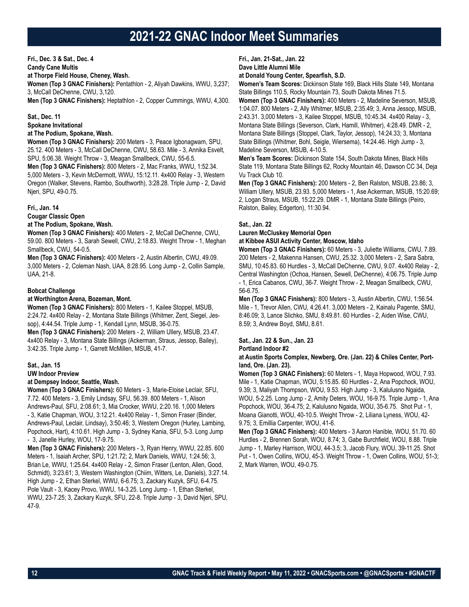## **Fri., Dec. 3 & Sat., Dec. 4**

**Candy Cane Multis**

**at Thorpe Field House, Cheney, Wash. Women (Top 3 GNAC Finishers):** Pentathlon - 2, Aliyah Dawkins, WWU, 3,237; 3, McCall DeChenne, CWU, 3,120.

**Men (Top 3 GNAC Finishers):** Heptathlon - 2, Copper Cummings, WWU, 4,300.

## **Sat., Dec. 11**

**Spokane Invitational**

## **at The Podium, Spokane, Wash.**

**Women (Top 3 GNAC Finishers):** 200 Meters - 3, Peace Igbonagwam, SPU, 25.12. 400 Meters - 3, McCall DeChenne, CWU, 58.63. Mile - 3, Annika Esvelt, SPU, 5:06.38. Weight Throw - 3, Meagan Smallbeck, CWU, 55-6.5.

**Men (Top 3 GNAC Finishers):** 800 Meters - 2, Mac Franks, WWU, 1:52.34. 5,000 Meters - 3, Kevin McDermott, WWU, 15:12.11. 4x400 Relay - 3, Western Oregon (Walker, Stevens, Rambo, Southworth), 3:28.28. Triple Jump - 2, David Njeri, SPU, 49-0.75.

## **Fri., Jan. 14**

**Cougar Classic Open**

## **at The Podium, Spokane, Wash.**

**Women (Top 3 GNAC Finishers):** 400 Meters - 2, McCall DeChenne, CWU, 59.00. 800 Meters - 3, Sarah Sewell, CWU, 2:18.83. Weight Throw - 1, Meghan Smallbeck, CWU, 54-0.5.

**Men (Top 3 GNAC Finishers):** 400 Meters - 2, Austin Albertin, CWU, 49.09. 3,000 Meters - 2, Coleman Nash, UAA, 8:28.95. Long Jump - 2, Collin Sample, UAA, 21-8.

## **Bobcat Challenge**

## **at Worthington Arena, Bozeman, Mont.**

**Women (Top 3 GNAC Finishers):** 800 Meters - 1, Kailee Stoppel, MSUB, 2:24.72. 4x400 Relay - 2, Montana State Billings (Whitmer, Zent, Siegel, Jessop), 4:44.54. Triple Jump - 1, Kendall Lynn, MSUB, 36-0.75.

**Men (Top 3 GNAC Finishers):** 200 Meters - 2, William Ullery, MSUB, 23.47. 4x400 Relay - 3, Montana State Billings (Ackerman, Straus, Jessop, Bailey), 3:42.35. Triple Jump - 1, Garrett McMillen, MSUB, 41-7.

## **Sat., Jan. 15**

**UW Indoor Preview**

## **at Dempsey Indoor, Seattle, Wash.**

**Women (Top 3 GNAC Finishers):** 60 Meters - 3, Marie-Eloise Leclair, SFU, 7.72. 400 Meters - 3, Emily Lindsay, SFU, 56.39. 800 Meters - 1, Alison Andrews-Paul, SFU, 2:08.61; 3, Mia Crocker, WWU, 2:20.16. 1,000 Meters - 3, Katie Chapman, WOU, 3:12.21. 4x400 Relay - 1, Simon Fraser (Binder, Andrews-Paul, Leclair, Lindsay), 3:50.46; 3, Western Oregon (Hurley, Lambing, Popchock, Hart), 4:10.61. High Jump - 3, Sydney Kania, SFU, 5-3. Long Jump - 3, Janelle Hurley, WOU, 17-9.75.

**Men (Top 3 GNAC Finishers):** 200 Meters - 3, Ryan Henry, WWU, 22.85. 600 Meters - 1, Isaiah Archer, SPU, 1:21.72; 2, Mark Daniels, WWU, 1:24.56; 3, Brian Le, WWU, 1:25.64. 4x400 Relay - 2, Simon Fraser (Lenton, Allen, Good, Schmidt), 3:23.61; 3, Western Washington (Chiim, Witters, Le, Daniels), 3:27.14. High Jump - 2, Ethan Sterkel, WWU, 6-6.75; 3, Zackary Kuzyk, SFU, 6-4.75. Pole Vault - 3, Kacey Provo, WWU, 14-3.25. Long Jump - 1, Ethan Sterkel, WWU, 23-7.25; 3, Zackary Kuzyk, SFU, 22-8. Triple Jump - 3, David Njeri, SPU, 47-9.

**Fri., Jan. 21-Sat., Jan. 22 Dave Little Alumni Mile**

## **at Donald Young Center, Spearfish, S.D.**

**Women's Team Scores:** Dickinson State 169, Black Hills State 149, Montana State Billings 110.5, Rocky Mountain 73, South Dakota Mines 71.5.

**Women (Top 3 GNAC Finishers):** 400 Meters - 2, Madeline Severson, MSUB, 1:04.07. 800 Meters - 2, Ally Whitmer, MSUB, 2:35.49; 3, Anna Jessop, MSUB, 2:43.31. 3,000 Meters - 3, Kailee Stoppel, MSUB, 10:45.34. 4x400 Relay - 3, Montana State Billings (Severson, Clark, Hamill, Whitmer), 4:28.49. DMR - 2, Montana State Billings (Stoppel, Clark, Taylor, Jessop), 14:24.33; 3, Montana State Billings (Whitmer, Bohl, Seigle, Wiersema), 14:24.46. High Jump - 3, Madeline Severson, MSUB, 4-10.5.

**Men's Team Scores:** Dickinson State 154, South Dakota Mines, Black Hills State 119, Montana State Billings 62, Rocky Mountain 46, Dawson CC 34, Deja Vu Track Club 10.

**Men (Top 3 GNAC Finishers):** 200 Meters - 2, Ben Ralston, MSUB, 23.86; 3, William Ullery, MSUB, 23.93. 5,000 Meters - 1, Ase Ackerman, MSUB, 15:20.69; 2, Logan Straus, MSUB, 15:22.29. DMR - 1, Montana State Billings (Peiro, Ralston, Bailey, Edgerton), 11:30.94.

## **Sat., Jan. 22**

**Lauren McCluskey Memorial Open**

## **at Kibbee ASUI Activity Center, Moscow, Idaho**

**Women (Top 3 GNAC Finishers):** 60 Meters - 3, Juliette Williams, CWU, 7.89. 200 Meters - 2, Makenna Hansen, CWU, 25.32. 3,000 Meters - 2, Sara Sabra, SMU, 10:45.83. 60 Hurdles - 3, McCall DeChenne, CWU, 9.07. 4x400 Relay - 2, Central Washington (Ochoa, Hansen, Sewell, DeChenne), 4:06.75. Triple Jump - 1, Erica Cabanos, CWU, 36-7. Weight Throw - 2, Meagan Smallbeck, CWU, 56-6.75.

**Men (Top 3 GNAC Finishers):** 800 Meters - 3, Austin Albertin, CWU, 1:56.54. Mile - 1, Trevor Allen, CWU, 4:26.41. 3,000 Meters - 2, Kainalu Pagente, SMU, 8:46.09; 3, Lance Slichko, SMU, 8:49.81. 60 Hurdles - 2, Aiden Wise, CWU, 8.59; 3, Andrew Boyd, SMU, 8.61.

## **Sat., Jan. 22 & Sun., Jan. 23**

## **Portland Indoor #2**

### **at Austin Sports Complex, Newberg, Ore. (Jan. 22) & Chiles Center, Portland, Ore. (Jan. 23).**

**Women (Top 3 GNAC Finishers):** 60 Meters - 1, Maya Hopwood, WOU, 7.93. Mile - 1, Katie Chapman, WOU, 5:15.85. 60 Hurdles - 2, Ana Popchock, WOU, 9.39; 3, Maliyah Thompson, WOU, 9.53. High Jump - 3, Kalulusno Ngaida, WOU, 5-2.25. Long Jump - 2, Amity Deters, WOU, 16-9.75. Triple Jump - 1, Ana Popchock, WOU, 36-4.75; 2, Kalulusno Ngaida, WOU, 35-6.75. Shot Put - 1, Moana Gianotti, WOU, 40-10.5. Weight Throw - 2, Liliana Lyness, WOU, 42- 9.75; 3, Emillia Carpenter, WOU, 41-6.

**Men (Top 3 GNAC Finishers):** 400 Meters - 3 Aaron Hanible, WOU, 51.70. 60 Hurdles - 2, Brennen Sorah, WOU, 8.74; 3, Gabe Burchfield, WOU, 8.88. Triple Jump - 1, Marley Harrison, WOU, 44-3.5; 3, Jacob Flury, WOU, 39-11.25. Shot Put - 1, Owen Collins, WOU, 45-3. Weight Throw - 1, Owen Collins, WOU, 51-3; 2, Mark Warren, WOU, 49-0.75.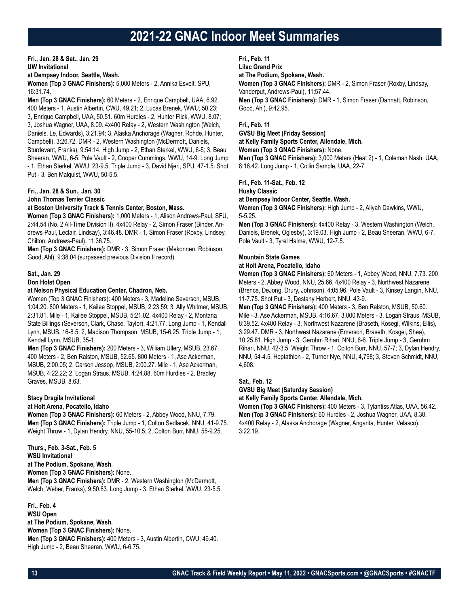**Fri., Jan. 28 & Sat., Jan. 29 UW Invitational**

**at Dempsey Indoor, Seattle, Wash.**

**Women (Top 3 GNAC Finishers):** 5,000 Meters - 2, Annika Esvelt, SPU, 16:31.74.

**Men (Top 3 GNAC Finishers):** 60 Meters - 2, Enrique Campbell, UAA, 6.92. 400 Meters - 1, Austin Albertin, CWU, 49.21; 2, Lucas Brenek, WWU, 50.23; 3, Enrique Campbell, UAA, 50.51. 60m Hurdles - 2, Hunter Flick, WWU, 8.07; 3, Joshua Wagner, UAA, 8.09. 4x400 Relay - 2, Western Washington (Welch, Daniels, Le, Edwards), 3:21.94; 3, Alaska Anchorage (Wagner, Rohde, Hunter, Campbell), 3:26.72. DMR - 2, Western Washington (McDermott, Daniels, Sturdevant, Franks), 9:54.14. High Jump - 2, Ethan Sterkel, WWU, 6-5; 3, Beau

Sheeran, WWU, 6-5. Pole Vault - 2, Cooper Cummings, WWU, 14-9. Long Jump - 1, Ethan Sterkel, WWU, 23-9.5. Triple Jump - 3, David Njeri, SPU, 47-1.5. Shot Put - 3, Ben Malquist, WWU, 50-5.5.

## **Fri., Jan. 28 & Sun., Jan. 30**

**John Thomas Terrier Classic**

#### **at Boston University Track & Tennis Center, Boston, Mass.**

**Women (Top 3 GNAC Finishers):** 1,000 Meters - 1, Alison Andrews-Paul, SFU, 2:44.54 (No. 2 All-Time Division II). 4x400 Relay - 2, Simon Fraser (Binder, Andrews-Paul, Leclair, Lindsay), 3:46.48. DMR - 1, Simon Fraser (Roxby, Lindsey, Chilton, Andrews-Paul), 11:36.75.

**Men (Top 3 GNAC Finishers):** DMR - 3, Simon Fraser (Mekonnen, Robinson, Good, Ahl), 9:38.04 (surpassed previous Division II record).

#### **Sat., Jan. 29 Don Holst Open**

## **at Nelson Physical Education Center, Chadron, Neb.**

Women (Top 3 GNAC Finishers): 400 Meters - 3, Madeline Severson, MSUB, 1:04.20. 800 Meters - 1, Kailee Stoppel, MSUB, 2:23.59; 3, Ally Whitmer, MSUB, 2:31.81. Mile - 1, Kailee Stoppel, MSUB, 5:21.02. 4x400 Relay - 2, Montana State Billings (Severson, Clark, Chase, Taylor), 4:21.77. Long Jump - 1, Kendall Lynn, MSUB, 16-8.5; 2, Madison Thompson, MSUB, 15-6.25. Triple Jump - 1, Kendall Lynn, MSUB, 35-1.

**Men (Top 3 GNAC Finishers):** 200 Meters - 3, William Ullery, MSUB, 23.67. 400 Meters - 2, Ben Ralston, MSUB, 52.65. 800 Meters - 1, Ase Ackerman, MSUB, 2:00.05; 2, Carson Jessop, MSUB, 2:00.27. Mile - 1, Ase Ackerman, MSUB, 4:22.22; 2, Logan Straus, MSUB, 4:24.88. 60m Hurdles - 2, Bradley Graves, MSUB, 8.63.

## **Stacy Dragila Invitational**

## **at Holt Arena, Pocatello, Idaho**

**Women (Top 3 GNAC Finishers):** 60 Meters - 2, Abbey Wood, NNU, 7.79. **Men (Top 3 GNAC Finishers):** Triple Jump - 1, Colton Sedlacek, NNU, 41-9.75. Weight Throw - 1, Dylan Hendry, NNU, 55-10.5; 2, Colton Burr, NNU, 55-9.25.

**Thurs., Feb. 3-Sat., Feb. 5 WSU Invitational at The Podium, Spokane, Wash. Women (Top 3 GNAC Finishers):** None. **Men (Top 3 GNAC Finishers):** DMR - 2, Western Washington (McDermott, Welch, Weber, Franks), 9:50.83. Long Jump - 3, Ethan Sterkel, WWU, 23-5.5.

**Fri., Feb. 4 WSU Open at The Podium, Spokane, Wash. Women (Top 3 GNAC Finishers):** None. **Men (Top 3 GNAC Finishers):** 400 Meters - 3, Austin Albertin, CWU, 49.40. High Jump - 2, Beau Sheeran, WWU, 6-6.75.

**Fri., Feb. 11**

**Lilac Grand Prix**

**at The Podium, Spokane, Wash. Women (Top 3 GNAC Finishers):** DMR - 2, Simon Fraser (Roxby, Lindsay, Vanderput, Andrews-Paul), 11:57.44. **Men (Top 3 GNAC Finishers):** DMR - 1, Simon Fraser (Dannatt, Robinson, Good, Ahl), 9:42.95.

**Fri., Feb. 11**

**GVSU Big Meet (Friday Session) at Kelly Family Sports Center, Allendale, Mich. Women (Top 3 GNAC Finishers):** None.

**Men (Top 3 GNAC Finishers):** 3,000 Meters (Heat 2) - 1, Coleman Nash, UAA, 8:16.42. Long Jump - 1, Collin Sample, UAA, 22-7.

## **Fri., Feb. 11-Sat., Feb. 12**

#### **Husky Classic**

### **at Dempsey Indoor Center, Seattle. Wash.**

**Women (Top 3 GNAC Finishers):** High Jump - 2, Aliyah Dawkins, WWU, 5-5.25.

**Men (Top 3 GNAC Finishers):** 4x400 Relay - 3, Western Washington (Welch, Daniels, Brenek, Oglesby), 3:19.03. High Jump - 2, Beau Sheeran, WWU, 6-7. Pole Vault - 3, Tyrel Halme, WWU, 12-7.5.

## **Mountain State Games**

## **at Holt Arena, Pocatello, Idaho**

**Women (Top 3 GNAC Finishers):** 60 Meters - 1, Abbey Wood, NNU, 7.73. 200 Meters - 2, Abbey Wood, NNU, 25.66. 4x400 Relay - 3, Northwest Nazarene (Brence, DeJong, Drury, Johnson), 4:05.96. Pole Vault - 3, Kinsey Langin, NNU, 11-7.75. Shot Put - 3, Destany Herbert, NNU, 43-9.

**Men (Top 3 GNAC Finishers):** 400 Meters - 3, Ben Ralston, MSUB, 50.60. Mile - 3, Ase Ackerman, MSUB, 4:16.67. 3,000 Meters - 3, Logan Straus, MSUB, 8:39.52. 4x400 Relay - 3, Northwest Nazarene (Braseth, Kosegi, Wilkins, Ellis), 3:29.47. DMR - 3, Northwest Nazarene (Emerson, Braseth, Kosgei, Shea), 10:25.81. High Jump - 3, Gerohm Rihari, NNU, 6-6. Triple Jump - 3, Gerohm Rihari, NNU, 42-3.5. Weight Throw - 1, Colton Burr, NNU, 57-7; 3, Dylan Hendry, NNU, 54-4.5. Heptathlon - 2, Turner Nye, NNU, 4,798; 3, Steven Schmidt, NNU, 4,608.

## **Sat., Feb. 12**

**GVSU Big Meet (Saturday Session)**

**at Kelly Family Sports Center, Allendale, Mich.**

**Women (Top 3 GNAC Finishers):** 400 Meters - 3, Tylantiss Atlas, UAA, 56.42. **Men (Top 3 GNAC Finishers):** 60 Hurdles - 2, Joshua Wagner, UAA, 8.30. 4x400 Relay - 2, Alaska Anchorage (Wagner, Angarita, Hunter, Velasco), 3:22.19.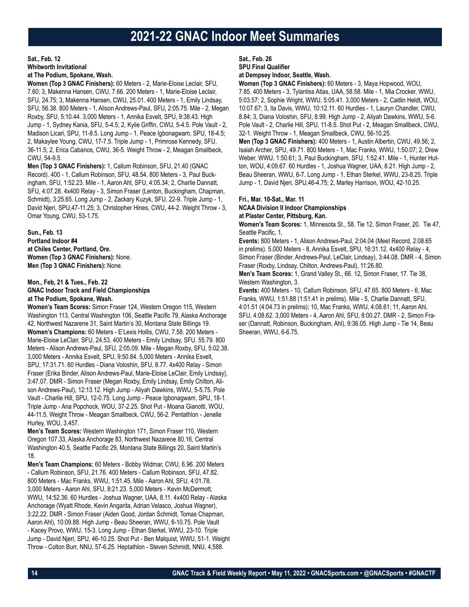## **Sat., Feb. 12 Whitworth Invitational at The Podium, Spokane, Wash.**

**Women (Top 3 GNAC Finishers):** 60 Meters - 2, Marie-Eloise Leclair, SFU, 7.60; 3, Makenna Hansen, CWU, 7.66. 200 Meters - 1, Marie-Eloise Leclair, SFU, 24.75; 3, Makenna Hansen, CWU, 25.01. 400 Meters - 1, Emily Lindsay, SFU, 56.38. 800 Meters - 1, Alison Andrews-Paul, SFU, 2:05.75. Mile - 2, Megan Roxby, SFU, 5:10.44. 3,000 Meters - 1, Annika Esvelt, SPU, 9:38.43. High Jump - 1, Sydney Kania, SFU, 5-4.5; 2, Kylie Griffin, CWU, 5-4.5. Pole Vault - 2, Madison Licari, SPU, 11-8.5. Long Jump - 1, Peace Igbonagwam, SPU, 18-4.5; 2, Makaylee Young, CWU, 17-7.5. Triple Jump - 1, Primrose Kennedy, SFU, 36-11.5; 2, Erica Cabanos, CWU, 36-5. Weight Throw - 2, Meagan Smallbeck, CWU, 54-9.5.

**Men (Top 3 GNAC Finishers):** 1, Callum Robinson, SFU, 21.40 (GNAC Record). 400 - 1, Callum Robinson, SFU, 48.54. 800 Meters - 3, Paul Buckingham, SFU, 1:52.23. Mile - 1, Aaron Ahl, SFU, 4:05.34; 2, Charlie Dannatt, SFU, 4:07.28. 4x400 Relay - 3, Simon Fraser (Lenton, Buckingham, Chapman, Schmidt), 3:25.65. Long Jump - 2, Zackary Kuzyk, SFU, 22-9. Triple Jump - 1, David Njeri, SPU,47-11.25; 3, Christopher Hines, CWU, 44-2. Weight Throw - 3, Omar Young, CWU, 53-1.75.

**Sun., Feb. 13 Portland Indoor #4 at Chiles Center, Portland, Ore. Women (Top 3 GNAC Finishers):** None. **Men (Top 3 GNAC Finishers):** None.

## **Mon., Feb, 21 & Tues., Feb. 22**

**GNAC Indoor Track and Field Championships at The Podium, Spokane, Wash.**

**Women's Team Scores:** Simon Fraser 124, Western Oregon 115, Western Washington 113, Central Washington 106, Seattle Pacific 79, Alaska Anchorage 42, Northwest Nazarene 31, Saint Martin's 30, Montana State Billings 19. **Women's Champions:** 60 Meters - E'Lexis Hollis, CWU, 7.58. 200 Meters - Marie-Eloise LeClair, SFU, 24.53. 400 Meters - Emily Lindsay, SFU. 55.79. 800 Meters - Alison Andrews-Paul, SFU, 2:05.09. Mile - Megan Roxby, SFU, 5:02.38. 3,000 Meters - Annika Esvelt, SPU, 9:50.84. 5,000 Meters - Annika Esvelt, SPU, 17:31.71. 60 Hurdles - Diana Voloshin, SFU, 8.77. 4x400 Relay - Simon Fraser (Erika Binder, Alison Andrews-Paul, Marie-Eloise LeClair, Emily Lindsay), 3:47.07. DMR - Simon Fraser (Megan Roxby, Emily Lindsay, Emily Chilton, Alison Andrews-Paul), 12:13.12. High Jump - Aliyah Dawkins, WWU, 5-5.75. Pole Vault - Charlie Hill, SPU, 12-0.75. Long Jump - Peace Igbonagwam, SPU, 18-1. Triple Jump - Ana Popchock, WOU, 37-2.25. Shot Put - Moana Gianotti, WOU, 44-11.5. Weight Throw - Meagan Smallbeck, CWU, 56-2. Pentathlon - Jenelle Hurley, WOU, 3,457.

**Men's Team Scores:** Western Washington 171, Simon Fraser 110, Western Oregon 107.33, Alaska Anchorage 83, Northwest Nazarene 80.16, Central Washington 40.5, Seattle Pacific 29, Montana State Billings 20, Saint Martin's 18.

**Men's Team Champions:** 60 Meters - Bobby Widmar, CWU, 6.96. 200 Meters - Callum Robinson, SFU, 21.76. 400 Meters - Callum Robinson, SFU, 47.82. 800 Meters - Mac Franks, WWU, 1:51.45. Mile - Aaron Ahl, SFU, 4:01.78. 3,000 Meters - Aaron Ahl, SFU, 8:21.23. 5,000 Meters - Kevin McDermott, WWU, 14:52.36. 60 Hurdles - Joshua Wagner, UAA, 8.11. 4x400 Relay - Alaska Anchorage (Wyatt Rhode, Kevin Angarita, Adrian Velasco, Joshua Wagner), 3:22.22. DMR - Simon Fraser (Aiden Good, Jordan Schmidt, Tomas Chapman, Aaron Ahl), 10:09.88. High Jump - Beau Sheeran, WWU, 6-10.75. Pole Vault - Kacey Provo, WWU, 15-3. Long Jump - Ethan Sterkel, WWU, 23-10. Triple Jump - David Njeri, SPU, 46-10.25. Shot Put - Ben Malquist, WWU, 51-1. Weight Throw - Colton Burr, NNU, 57-6.25. Heptathlon - Steven Schmidt, NNU, 4,588.

## **Sat., Feb. 26**

**SPU Final Qualifier**

## **at Dempsey Indoor, Seattle, Wash.**

**Women (Top 3 GNAC Finishers):** 60 Meters - 3, Maya Hopwood, WOU, 7.85. 400 Meters - 3, Tylantiss Atlas, UAA, 58.58. Mile - 1, Mia Crocker, WWU, 5:03.57; 2, Sophie Wright, WWU, 5:05.41. 3,000 Meters - 2, Caitlin Heldt, WOU, 10:07.67; 3, Ila Davis, WWU, 10:12.11. 60 Hurdles - 1, Lauryn Chandler, CWU, 8.84; 3, Diana Voloshin, SFU, 8.99. High Jump - 2, Aliyah Dawkins, WWU, 5-6. Pole Vault - 2, Charlie Hill, SPU, 11-8.5. Shot Put - 2, Meagan Smallbeck, CWU, 32-1. Weight Throw - 1, Meagan Smallbeck, CWU, 56-10.25.

**Men (Top 3 GNAC Finishers):** 400 Meters - 1, Austin Albertin, CWU, 49.56; 2, Isaiah Archer, SPU, 49.71. 800 Meters - 1, Mac Franks, WWU, 1:50.07; 2, Drew Weber, WWU, 1:50.61; 3, Paul Buckingham, SFU, 1:52.41. Mile - 1, Hunter Hutton, WOU, 4:09.67. 60 Hurdles - 1, Joshua Wagner, UAA, 8.21. High Jump - 2, Beau Sheeran, WWU, 6-7. Long Jump - 1, Ethan Sterkel, WWU, 23-8.25. Triple Jump - 1, David Njeri, SPU,46-4.75; 2, Marley Harrison, WOU, 42-10.25.

## **Fri., Mar. 10-Sat., Mar. 11**

#### **NCAA Division II Indoor Championships at Plaster Center, Pittsburg, Kan.**

**Women's Team Scores:** 1, Minnesota St., 58. Tie 12, Simon Fraser, 20. Tie 47, Seattle Pacific, 1.

**Events:** 800 Meters - 1, Alison Andrews-Paul, 2:04.04 (Meet Record, 2:08.65 in prelims). 5,000 Meters - 8, Annika Esvelt, SPU, 16:31.12. 4x400 Relay - 4, Simon Fraser (Binder, Andrews-Paul, LeClair, Lindsay), 3:44.08. DMR - 4, Simon Fraser (Roxby, Lindsay, Chilton, Andrews-Paul), 11:26.80.

**Men's Team Scores:** 1, Grand Valley St., 66. 12, Simon Fraser, 17. Tie 38, Western Washington, 3.

**Events:** 400 Meters - 10, Callum Robinson, SFU, 47.65. 800 Meters - 6, Mac Franks, WWU, 1:51.88 (1:51.41 in prelims). Mile - 5, Charlie Dannatt, SFU, 4:01.51 (4:04.73 in prelims); 10, Mac Franks, WWU, 4:08.61; 11, Aaron Ahl, SFU, 4:08.62. 3,000 Meters - 4, Aaron Ahl, SFU, 8:00.27. DMR - 2, Simon Fraser (Dannatt, Robinson, Buckingham, Ahl), 9:36.05. High Jump - Tie 14, Beau Sheeran, WWU, 6-6.75.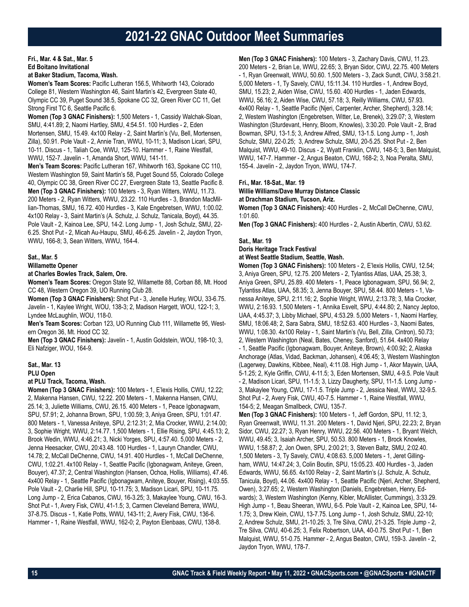## **Fri., Mar. 4 & Sat., Mar. 5 Ed Boitano Invitational**

## **at Baker Stadium, Tacoma, Wash.**

**Women's Team Scores:** Pacific Lutheran 156.5, Whitworth 143, Colorado College 81, Western Washington 46, Saint Martin's 42, Evergreen State 40, Olympic CC 39, Puget Sound 38.5, Spokane CC 32, Green River CC 11, Get Strong First TC 6, Seattle Pacific 6.

**Women (Top 3 GNAC Finishers):** 1,500 Meters - 1, Cassidy Walchak-Sloan, SMU, 4:41.89; 2, Naomi Hartley, SMU, 4:54.51. 100 Hurdles - 2, Eden Mortensen, SMU, 15.49. 4x100 Relay - 2, Saint Martin's (Vu, Bell, Mortensen, Zilla), 50.91. Pole Vault - 2, Annie Tran, WWU, 10-11; 3, Madison Licari, SPU, 10-11. Discus - 1, Taliah Coe, WWU, 125-10. Hammer - 1, Raine Westfall, WWU, 152-7. Javelin - 1, Amanda Short, WWU, 141-11.

**Men's Team Scores:** Pacific Lutheran 167, Whitworth 163, Spokane CC 110, Western Washington 59, Saint Martin's 58, Puget Sound 55, Colorado College 40, Olympic CC 38, Green River CC 27, Evergreen State 13, Seattle Pacific 8. **Men (Top 3 GNAC Finishers):** 100 Meters - 3, Ryan Witters, WWU, 11.73. 200 Meters - 2, Ryan Witters, WWU, 23.22. 110 Hurdles - 3, Brandon MacMillian-Thomas, SMU, 16.72. 400 Hurdles - 3, Kale Engebretsen, WWU, 1:00.02. 4x100 Relay - 3, Saint Martin's (A. Schulz, J. Schulz, Tanicala, Boyd), 44.35. Pole Vault - 2, Kainoa Lee, SPU, 14-2. Long Jump - 1, Josh Schulz, SMU, 22- 6.25. Shot Put - 2, Micah Au-Haupu, SMU, 46-6.25. Javelin - 2, Jaydon Tryon, WWU, 166-8; 3, Sean Witters, WWU, 164-4.

## **Sat., Mar. 5**

## **Willamette Opener**

## **at Charles Bowles Track, Salem, Ore.**

**Women's Team Scores:** Oregon State 92, Willamette 88, Corban 88, Mt. Hood CC 48, Western Oregon 39, UO Running Club 28.

**Women (Top 3 GNAC Finishers):** Shot Put - 3, Jenelle Hurley, WOU, 33-6.75. Javelin - 1, Kaylee Wright, WOU, 138-3; 2, Madison Hargett, WOU, 122-1; 3, Lyndee McLaughlin, WOU, 118-0.

**Men's Team Scores:** Corban 123, UO Running Club 111, Willamette 95, Western Oregon 36, Mt. Hood CC 32.

**Men (Top 3 GNAC Finishers):** Javelin - 1, Austin Goldstein, WOU, 198-10; 3, Eli Nafziger, WOU, 164-9.

#### **Sat., Mar. 13**

**PLU Open**

#### **at PLU Track, Tacoma, Wash.**

**Women (Top 3 GNAC Finishers):** 100 Meters - 1, E'lexis Hollis, CWU, 12.22; 2, Makenna Hansen, CWU, 12.22. 200 Meters - 1, Makenna Hansen, CWU, 25.14; 3, Juliette Williams, CWU, 26.15. 400 Meters - 1, Peace Igbonagwam, SPU, 57.91; 2, Johanna Brown, SPU, 1:00.59; 3, Aniya Green, SPU, 1:01.47. 800 Meters - 1, Vanessa Aniteye, SPU, 2:12.31; 2, Mia Crocker, WWU, 2:14.00; 3, Sophie Wright, WWU, 2:14.77. 1,500 Meters - 1, Ellie Rising, SPU, 4:45.13; 2, Brook Wedin, WWU, 4:46.21; 3, Nicki Yorges, SPU, 4:57.40. 5,000 Meters - 2, Jenna Heesacker, CWU, 20:43.48. 100 Hurdles - 1, Lauryn Chandler, CWU, 14.78; 2, McCall DeChenne, CWU, 14.91. 400 Hurdles - 1, McCall DeChenne, CWU, 1:02.21. 4x100 Relay - 1, Seattle Pacific (Igbonagwam, Aniteye, Green, Bouyer), 47.37; 2, Central Washington (Hansen, Ochoa, Hollis, Williams), 47.46. 4x400 Relay - 1, Seattle Pacific (Igbonagwam, Aniteye, Bouyer, Rising), 4:03.55. Pole Vault - 2, Charlie Hill, SPU, 10-11.75; 3, Madison Licari, SPU, 10-11.75. Long Jump - 2, Erica Cabanos, CWU, 16-3.25; 3, Makaylee Young, CWU, 16-3. Shot Put - 1, Avery Fisk, CWU, 41-1.5; 3, Carmen Cleveland Berrera, WWU, 37-8.75. Discus - 1, Katie Potts, WWU, 143-11; 2, Avery Fisk, CWU, 136-6. Hammer - 1, Raine Westfall, WWU, 162-0; 2, Payton Elenbaas, CWU, 138-8.

**Men (Top 3 GNAC Finishers):** 100 Meters - 3, Zachary Davis, CWU, 11.23. 200 Meters - 2, Brian Le, WWU, 22.65; 3, Bryan Sidor, CWU, 22.75. 400 Meters - 1, Ryan Greenwalt, WWU, 50.60. 1,500 Meters - 3, Zack Sundt, CWU, 3:58.21. 5,000 Meters - 1, Ty Savely, CWU, 15:11.34. 110 Hurdles - 1, Andrew Boyd, SMU, 15.23; 2, Aiden Wise, CWU, 15.60. 400 Hurdles - 1, Jaden Edwards, WWU, 56.16; 2, Aiden Wise, CWU, 57.18; 3, Reilly Williams, CWU, 57.93. 4x400 Relay - 1, Seattle Pacific (Njeri, Carpenter, Archer, Shepherd), 3:28.14; 2, Western Washington (Engebretsen, Witter, Le, Brenek), 3:29.07; 3, Western Washington (Sturdevant, Henry, Bloom, Knowles), 3:30.20. Pole Vault - 2, Brad Bowman, SPU, 13-1.5; 3, Andrew Alfred, SMU, 13-1.5. Long Jump - 1, Josh Schulz, SMU, 22-0.25; 3, Andrew Schulz, SMU, 20-5.25. Shot Put - 2, Ben Malquist, WWU, 49-10. Discus - 2, Wyatt Franklin, CWU, 148-5; 3, Ben Malquist, WWU, 147-7. Hammer - 2, Angus Beaton, CWU, 168-2; 3, Noa Peralta, SMU, 155-4. Javelin - 2, Jaydon Tryon, WWU, 174-7.

#### **Fri., Mar. 18-Sat., Mar. 19**

#### **Willie Williams/Dave Murray Distance Classic at Drachman Stadium, Tucson, Ariz.**

**Women (Top 3 GNAC Finishers):** 400 Hurdles - 2, McCall DeChenne, CWU, 1:01.60.

**Men (Top 3 GNAC Finishers):** 400 Hurdles - 2, Austin Albertin, CWU, 53.62.

#### **Sat., Mar. 19**

**Doris Heritage Track Festival**

**at West Seattle Stadium, Seattle, Wash.**

**Women (Top 3 GNAC Finishers):** 100 Meters - 2, E'lexis Hollis, CWU, 12.54; 3, Aniya Green, SPU, 12.75. 200 Meters - 2, Tylantiss Atlas, UAA, 25.38; 3, Aniya Green, SPU, 25.89. 400 Meters - 1, Peace Igbonagwam, SPU, 56.94; 2, Tylantiss Atlas, UAA, 58.35; 3, Jenna Bouyer, SPU, 58.44. 800 Meters - 1, Vanessa Aniteye, SPU, 2:11.16; 2, Sophie Wright, WWU, 2:13.78; 3, Mia Crocker, WWU, 2:16.93. 1,500 Meters - 1, Annika Esvelt, SPU, 4:44.80; 2, Nancy Jeptoo, UAA, 4:45.37; 3, Libby Michael, SPU, 4:53.29. 5,000 Meters - 1, Naomi Hartley, SMU, 18:06.48; 2, Sara Sabra, SMU, 18:52.63. 400 Hurdles - 3, Naomi Bates, WWU, 1:08.30. 4x100 Relay - 1, Saint Martin's (Vu, Bell, Zilla, Cintron), 50.73; 2, Western Washington (Neal, Bates, Cheney, Sanford), 51.64. 4x400 Relay - 1, Seattle Pacific (Igbonagwam, Bouyer, Aniteye, Brown), 4:00.92; 2, Alaska Anchorage (Atlas, Vidad, Backman, Johansen), 4:06.45; 3, Western Washington (Lagerwey, Dawkins, Kibbee, Neal), 4:11.08. High Jump - 1, Akor Maywin, UAA, 5-1.25; 2, Kyle Griffin, CWU, 4-11.5; 3, Eden Mortensen, SMU, 4-9.5. Pole Vault - 2, Madison Licari, SPU, 11-1.5; 3, Lizzy Daugherty, SPU, 11-1.5. Long Jump - 3, Makaylee Young, CWU, 17-1.5. Triple Jump - 2, Jessica Neal, WWU, 32-9.5. Shot Put - 2, Avery Fisk, CWU, 40-7.5. Hammer - 1, Raine Westfall, WWU, 154-5; 2, Meagan Smallbeck, CWU, 135-7.

**Men (Top 3 GNAC Finishers):** 100 Meters - 1, Jeff Gordon, SPU, 11.12; 3, Ryan Greenwalt, WWU, 11.31. 200 Meters - 1, David Njeri, SPU, 22.23; 2, Bryan Sidor, CWU, 22.27; 3, Ryan Henry, WWU, 22.56. 400 Meters - 1, Bryant Welch, WWU, 49.45; 3, Isaiah Archer, SPU, 50.53. 800 Meters - 1, Brock Knowles, WWU, 1:58.87; 2, Jon Owen, SPU, 2:00.21; 3, Steven Baltz, SMU, 2:02.40. 1,500 Meters - 3, Ty Savely, CWU, 4:08.63. 5,000 Meters - 1, Jeret Gillingham, WWU, 14:47.24; 3, Colin Boutin, SPU, 15:05.23. 400 Hurdles - 3, Jaden Edwards, WWU, 56.65. 4x100 Relay - 2, Saint Martin's (J. Schulz, A. Schulz, Tanicula, Boyd), 44.06. 4x400 Relay - 1, Seattle Pacific (Njeri, Archer, Shepherd, Owen), 3:27.65; 2, Western Washington (Daniels, Engebretsen, Henry, Edwards); 3, Western Washington (Kenny, Kibler, McAllister, Cummings), 3:33.29. High Jump - 1, Beau Sheeran, WWU, 6-5. Pole Vault - 2, Kainoa Lee, SPU, 14- 1.75; 3, Drew Klein, CWU, 13-7.75. Long Jump - 1, Josh Schulz, SMU, 22-10; 2, Andrew Schulz, SMU, 21-10.25; 3, Tre Silva, CWU, 21-3.25. Triple Jump - 2, Tre Silva, CWU, 40-6.25; 3, Felix Robertson, UAA, 40-0.75. Shot Put - 1, Ben Malquist, WWU, 51-0.75. Hammer - 2, Angus Beaton, CWU, 159-3. Javelin - 2, Jaydon Tryon, WWU, 178-7.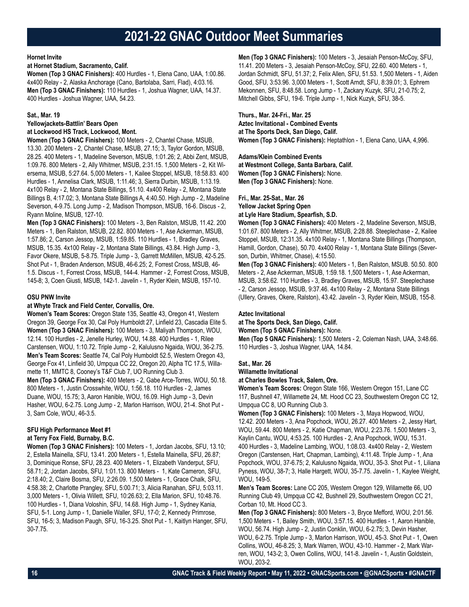### **Hornet Invite**

### **at Hornet Stadium, Sacramento, Calif.**

**Women (Top 3 GNAC Finishers):** 400 Hurdles - 1, Elena Cano, UAA, 1:00.86. 4x400 Relay - 2, Alaska Anchorage (Cano, Bartolaba, Sarri, Flad), 4:03.16. **Men (Top 3 GNAC Finishers):** 110 Hurdles - 1, Joshua Wagner, UAA, 14.37. 400 Hurdles - Joshua Wagner, UAA, 54.23.

## **Sat., Mar. 19**

#### **Yellowjackets-Battlin' Bears Open at Lockwood HS Track, Lockwood, Mont.**

**Women (Top 3 GNAC Finishers):** 100 Meters - 2, Chantel Chase, MSUB, 13.30. 200 Meters - 2, Chantel Chase, MSUB, 27.15; 3, Taylor Gordon, MSUB, 28.25. 400 Meters - 1, Madeline Severson, MSUB, 1:01.26; 2, Abbi Zent, MSUB, 1:09.76. 800 Meters - 2, Ally Whitmer, MSUB, 2:31.15. 1,500 Meters - 2, Kit Wiersema, MSUB, 5:27.64. 5,000 Meters - 1, Kailee Stoppel, MSUB, 18:58.83. 400 Hurdles - 1, Annelisa Clark, MSUB, 1:11.46; 3, Sierra Durbin, MSUB, 1:13.19. 4x100 Relay - 2, Montana State Billings, 51.10. 4x400 Relay - 2, Montana State Billings B, 4:17.02; 3, Montana State Billings A, 4:40.50. High Jump - 2, Madeline Severson, 4-9.75. Long Jump - 2, Madison Thompson, MSUB, 16-6. Discus - 2, Ryann Moline, MSUB, 127-10.

**Men (Top 3 GNAC Finishers):** 100 Meters - 3, Ben Ralston, MSUB, 11.42. 200 Meters - 1, Ben Ralston, MSUB, 22.82. 800 Meters - 1, Ase Ackerman, MSUB, 1:57.86; 2, Carson Jessop, MSUB, 1:59.85. 110 Hurdles - 1, Bradley Graves, MSUB, 15.35. 4x100 Relay - 2, Montana State Billings, 43.84. High Jump - 3, Favor Okere, MSUB, 5-8.75. Triple Jump - 3, Garrett McMillen, MSUB, 42-5.25. Shot Put - 1, Braden Anderson, MSUB, 46-6.25; 2, Forrest Cross, MSUB, 46- 1.5. Discus - 1, Forrest Cross, MSUB, 144-4. Hammer - 2, Forrest Cross, MSUB, 145-8; 3, Coen Giusti, MSUB, 142-1. Javelin - 1, Ryder Klein, MSUB, 157-10.

## **OSU PNW Invite**

## **at Whyte Track and Field Center, Corvallis, Ore.**

**Women's Team Scores:** Oregon State 135, Seattle 43, Oregon 41, Western Oregon 39, George Fox 30, Cal Poly Humboldt 27, Linfield 23, Cascadia Elite 5. **Women (Top 3 GNAC Finishers):** 100 Meters - 3, Maliyah Thompson, WOU, 12.14. 100 Hurdles - 2, Jenelle Hurley, WOU, 14.88. 400 Hurdles - 1, Rilee Carstensen, WOU, 1:10.72. Triple Jump - 2, Kalulusno Ngaida, WOU, 36-2.75. **Men's Team Scores:** Seattle 74, Cal Poly Humboldt 52.5, Western Oregon 43, George Fox 41, Linfield 30, Umpqua CC 22, Oregon 20, Alpha TC 17.5, Willamette 11, MMTC 8, Cooney's T&F Club 7, UO Running Club 3.

**Men (Top 3 GNAC Finishers):** 400 Meters - 2, Gabe Arce-Torres, WOU, 50.18. 800 Meters - 1, Justin Crosswhite, WOU, 1:56.18. 110 Hurdles - 2, James Duane, WOU, 15.75; 3, Aaron Hanible, WOU, 16.09. High Jump - 3, Devin Hasher, WOU, 6-2.75. Long Jump - 2, Marlon Harrison, WOU, 21-4. Shot Put - 3, Sam Cole, WOU, 46-3.5.

## **SFU High Performance Meet #1 at Terry Fox Field, Burnaby, B.C.**

**Women (Top 3 GNAC Finishers):** 100 Meters - 1, Jordan Jacobs, SFU, 13.10; 2, Estella Mainella, SFU, 13.41. 200 Meters - 1, Estella Mainella, SFU, 26.87; 3, Dominique Ronse, SFU, 28.23. 400 Meters - 1, Elizabeth Vanderput, SFU, 58.71; 2, Jordan Jacobs, SFU, 1:01.13. 800 Meters - 1, Kate Cameron, SFU, 2:18.40; 2, Claire Bosma, SFU, 2:26.09. 1,500 Meters - 1, Grace Chalk, SFU, 4:58.38; 2, Charlotte Prangley, SFU, 5:00.71; 3, Alicia Ranahan, SFU, 5:03.11. 3,000 Meters - 1, Olivia Willett, SFU, 10:26.63; 2, Ella Marion, SFU, 10:48.76. 100 Hurdles - 1, Diana Voloshin, SFU, 14.68. High Jump - 1, Sydney Kania, SFU, 5-1. Long Jump - 1, Danielle Waller, SFU, 17-0; 2, Kennedy Primrose, SFU, 16-5; 3, Madison Paugh, SFU, 16-3.25. Shot Put - 1, Kaitlyn Hanger, SFU, 30-7.75.

**Men (Top 3 GNAC Finishers):** 100 Meters - 3, Jesaiah Penson-McCoy, SFU, 11.41. 200 Meters - 3, Jesaiah Penson-McCoy, SFU, 22.60. 400 Meters - 1, Jordan Schmidt, SFU, 51.37; 2, Felix Allen, SFU, 51.53. 1,500 Meters - 1, Aiden Good, SFU, 3:53.96. 3,000 Meters - 1, Scott Arndt, SFU, 8:39.01; 3, Ephrem Mekonnen, SFU, 8:48.58. Long Jump - 1, Zackary Kuzyk, SFU, 21-0.75; 2, Mitchell Gibbs, SFU, 19-6. Triple Jump - 1, Nick Kuzyk, SFU, 38-5.

**Thurs., Mar. 24-Fri., Mar. 25 Aztec Invitational - Combined Events at The Sports Deck, San Diego, Calif. Women (Top 3 GNAC Finishers):** Heptathlon - 1, Elena Cano, UAA, 4,996.

**Adams/Klein Combined Events at Westmont College, Santa Barbara, Calif. Women (Top 3 GNAC Finishers):** None. **Men (Top 3 GNAC Finishers):** None.

**Fri., Mar. 25-Sat., Mar. 26 Yellow Jacket Spring Open**

## **at Lyle Hare Stadium, Spearfish, S.D.**

**Women (Top 3 GNAC Finishers):** 400 Meters - 2, Madeline Severson, MSUB, 1:01.67. 800 Meters - 2, Ally Whitmer, MSUB, 2:28.88. Steeplechase - 2, Kailee Stoppel, MSUB, 12:31.35. 4x100 Relay - 1, Montana State Billings (Thompson, Hamill, Gordon, Chase), 50.70. 4x400 Relay - 1, Montana State Billings (Severson, Durbin, Whitmer, Chase), 4:15.50.

**Men (Top 3 GNAC Finishers):** 400 Meters - 1, Ben Ralston, MSUB. 50.50. 800 Meters - 2, Ase Ackerman, MSUB, 1:59.18. 1,500 Meters - 1, Ase Ackerman, MSUB, 3:58.62. 110 Hurdles - 3, Bradley Graves, MSUB, 15.97. Steeplechase - 2, Carson Jessop, MSUB, 9:37.46. 4x100 Relay - 2, Montana State Billings (Ullery, Graves, Okere, Ralston), 43.42. Javelin - 3, Ryder Klein, MSUB, 155-8.

## **Aztec Invitational**

**at The Sports Deck, San Diego, Calif.**

**Women (Top 5 GNAC Finishers):** None.

**Men (Top 5 GNAC Finishers):** 1,500 Meters - 2, Coleman Nash, UAA, 3:48.66. 110 Hurdles - 3, Joshua Wagner, UAA, 14.84.

## **Sat., Mar. 26**

#### **Willamette Invitational**

#### **at Charles Bowles Track, Salem, Ore.**

**Women's Team Scores:** Oregon State 166, Western Oregon 151, Lane CC 117, Bushnell 47, Willamette 24, Mt. Hood CC 23, Southwestern Oregon CC 12, Umpqua CC 8, UO Running Club 3.

**Women (Top 3 GNAC Finishers):** 100 Meters - 3, Maya Hopwood, WOU, 12.42. 200 Meters - 3, Ana Popchock, WOU, 26.27. 400 Meters - 2, Jessy Hart, WOU, 59.44. 800 Meters - 2, Katie Chapman, WOU, 2:23.76. 1,500 Meters - 3, Kaylin Cantu, WOU, 4:53.25. 100 Hurdles - 2, Ana Popchock, WOU, 15.31. 400 Hurdles - 3, Madeline Lambing, WOU, 1:08.03. 4x400 Relay - 2, Western Oregon (Carstensen, Hart, Chapman, Lambing), 4:11.48. Triple Jump - 1, Ana Popchock, WOU, 37-6.75; 2, Kalulusno Ngaida, WOU, 35-3. Shot Put - 1, Liliana Pyness, WOU, 38-7; 3, Halle Hargett, WOU, 35-7.75. Javelin - 1, Kaylee Weight, WOU, 149-5.

**Men's Team Scores:** Lane CC 205, Western Oregon 129, Willamette 66, UO Running Club 49, Umpqua CC 42, Bushnell 29, Southwestern Oregon CC 21, Corban 10, Mt. Hood CC 3.

**Men (Top 3 GNAC Finishers):** 800 Meters - 3, Bryce Mefford, WOU, 2:01.56. 1,500 Meters - 1, Bailey Smith, WOU, 3:57.15. 400 Hurdles - 1, Aaron Hanible, WOU, 56.74. High Jump - 2, Justin Conklin, WOU, 6-2.75; 3, Devin Hasher, WOU, 6-2.75. Triple Jump - 3, Marlon Harrison, WOU, 45-3. Shot Put - 1, Owen Collins, WOU, 46-8.25; 3, Mark Warren, WOU, 43-10. Hammer - 2, Mark Warren, WOU, 143-2; 3, Owen Collins, WOU, 141-8. Javelin - 1, Austin Goldstein, WOU, 203-2.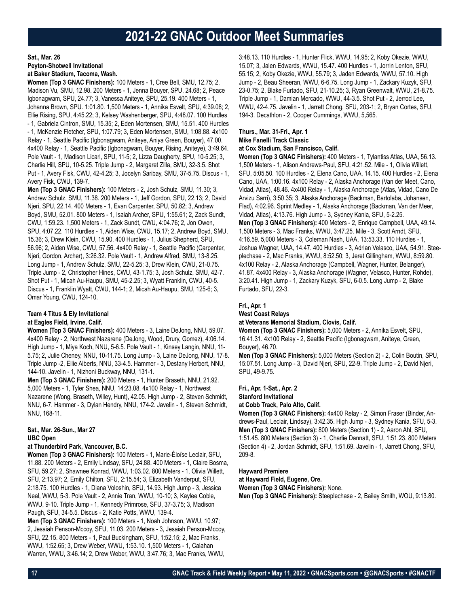**Sat., Mar. 26**

**Peyton-Shotwell Invitational**

**at Baker Stadium, Tacoma, Wash.**

**Women (Top 3 GNAC Finishers):** 100 Meters - 1, Cree Bell, SMU, 12.75; 2, Madison Vu, SMU, 12.98. 200 Meters - 1, Jenna Bouyer, SPU, 24.68; 2, Peace Igbonagwam, SPU, 24.77; 3, Vanessa Aniteye, SPU, 25.19. 400 Meters - 1, Johanna Brown, SPU. 1:01.80. 1,500 Meters - 1, Annika Esvelt, SPU, 4:39.08; 2, Ellie Rising, SPU, 4:45.22; 3, Kelsey Washenberger, SPU, 4:48.07. 100 Hurdles - 1, Gabriela Cintron, SMU, 15.35; 2, Eden Mortensen, SMU, 15.51. 400 Hurdles - 1, McKenzie Fletcher, SPU, 1:07.79; 3, Eden Mortensen, SMU, 1:08.88. 4x100 Relay - 1, Seattle Pacific (Igbonagwam, Aniteye, Aniya Green, Bouyer), 47.00. 4x400 Relay - 1, Seattle Pacific (Igbonagwam, Bouyer, Rising, Aniteye), 3:49.64. Pole Vault - 1, Madison Licari, SPU, 11-5; 2, Lizza Daugherty, SPU, 10-5.25; 3, Charlie Hill, SPU, 10-5.25. Triple Jump - 2, Margaret Zilla, SMU, 32-3.5. Shot Put - 1, Avery Fisk, CWU, 42-4.25; 3, Jocelyn Saribay, SMU, 37-5.75. Discus - 1, Avery Fisk, CWU, 139-7.

**Men (Top 3 GNAC Finishers):** 100 Meters - 2, Josh Schulz, SMU, 11.30; 3, Andrew Schulz, SMU, 11.38. 200 Meters - 1, Jeff Gordon, SPU, 22.13; 2, David Njeri, SPU, 22.14. 400 Meters - 1, Evan Carpenter, SPU, 50.82; 3, Andrew Boyd, SMU, 52.01. 800 Meters - 1, Isaiah Archer, SPU, 1:55.61; 2, Zack Sundt, CWU, 1:59.23. 1,500 Meters - 1, Zack Sundt, CWU, 4:04.76; 2, Jon Owen, SPU, 4:07.22. 110 Hurdles - 1, Aiden Wise, CWU, 15.17; 2, Andrew Boyd, SMU, 15.36; 3, Drew Klein, CWU, 15.90. 400 Hurdles - 1, Julius Shepherd, SPU, 56.96; 2, Aiden Wise, CWU, 57.56. 4x400 Relay - 1, Seattle Pacific (Carpenter, Njeri, Gordon, Archer), 3:26.32. Pole Vault - 1, Andrew Alfred, SMU, 13-8.25. Long Jump - 1, Andrew Schulz, SMU, 22-5.25; 3, Drew Klein, CWU, 21-0.75. Triple Jump - 2, Christopher Hines, CWU, 43-1.75; 3, Josh Schulz, SMU, 42-7. Shot Put - 1, Micah Au-Haupu, SMU, 45-2.25; 3, Wyatt Franklin, CWU, 40-5. Discus - 1, Franklin Wyatt, CWU, 144-1; 2, Micah Au-Haupu, SMU, 125-6; 3, Omar Young, CWU, 124-10.

## **Team 4 Titus & Ely Invitational at Eagles Field, Irvine, Calif.**

**Women (Top 3 GNAC Finishers):** 400 Meters - 3, Laine DeJong, NNU, 59.07. 4x400 Relay - 2, Northwest Nazarene (DeJong, Wood, Drury, Gomez), 4:06.14. High Jump - 1, Miya Koch, NNU, 5-6.5. Pole Vault - 1, Kinsey Langin, NNU, 11- 5.75; 2, Julie Cheney, NNU, 10-11.75. Long Jump - 3, Laine DeJong, NNU, 17-8. Triple Jump -2, Ellie Alberts, NNU, 33-4.5. Hammer - 3, Destany Herbert, NNU, 144-10. Javelin - 1, Nizhoni Buckway, NNU, 131-1.

**Men (Top 3 GNAC Finishers):** 200 Meters - 1, Hunter Braseth, NNU, 21.92. 5,000 Meters - 1, Tyler Shea, NNU, 14:23.08. 4x100 Relay - 1, Northwest Nazarene (Wong, Braseth, Willey, Hunt), 42.05. High Jump - 2, Steven Schmidt, NNU, 6-7. Hammer - 3, Dylan Hendry, NNU, 174-2. Javelin - 1, Steven Schmidt, NNU, 168-11.

#### **Sat., Mar. 26-Sun., Mar 27 UBC Open**

## **at Thunderbird Park, Vancouver, B.C.**

**Women (Top 3 GNAC Finishers):** 100 Meters - 1, Marie-Éloïse Leclair, SFU, 11.88. 200 Meters - 2, Emily Lindsay, SFU, 24.88. 400 Meters - 1, Claire Bosma, SFU, 59.27; 2, Shawnee Konrad, WWU, 1:03.02. 800 Meters - 1, Olivia Willett, SFU, 2:13.97; 2, Emily Chilton, SFU, 2:15.54; 3, Elizabeth Vanderput, SFU, 2:18.75. 100 Hurdles - 1, Diana Voloshin, SFU, 14.93. High Jump - 3, Jessica Neal, WWU, 5-3. Pole Vault - 2, Annie Tran, WWU, 10-10; 3, Kaylee Coble, WWU, 9-10. Triple Jump - 1, Kennedy Primrose, SFU, 37-3.75; 3, Madison Paugh, SFU, 34-5.5. Discus - 2, Katie Potts, WWU, 139-4.

**Men (Top 3 GNAC Finishers):** 100 Meters - 1, Noah Johnson, WWU, 10.97; 2, Jesaiah Penson-Mccoy, SFU, 11.03. 200 Meters - 3, Jesaiah Penson-Mccoy, SFU, 22.15. 800 Meters - 1, Paul Buckingham, SFU, 1:52.15; 2, Mac Franks, WWU, 1:52.65; 3, Drew Weber, WWU, 1:53.10. 1,500 Meters - 1, Calahan Warren, WWU, 3:46.14; 2, Drew Weber, WWU, 3:47.76; 3, Mac Franks, WWU,

3:48.13. 110 Hurdles - 1, Hunter Flick, WWU, 14.95; 2, Koby Okezie, WWU, 15.07; 3, Jalen Edwards, WWU, 15.47. 400 Hurdles - 1, Jorrin Lenton, SFU, 55.15; 2, Koby Okezie, WWU, 55.79; 3, Jaden Edwards, WWU, 57.10. High Jump - 2, Beau Sheeran, WWU, 6-6.75. Long Jump - 1, Zackary Kuzyk, SFU, 23-0.75; 2, Blake Furtado, SFU, 21-10.25; 3, Ryan Greenwalt, WWU, 21-8.75. Triple Jump - 1, Damian Mercado, WWU, 44-3.5. Shot Put - 2, Jerrod Lee, WWU, 42-4.75. Javelin - 1, Jarrett Chong, SFU, 203-1; 2, Bryan Cortes, SFU, 194-3. Decathlon - 2, Cooper Cummings, WWU, 5,565.

### **Thurs., Mar. 31-Fri., Apr. 1 Mike Fanelli Track Classic at Cox Stadium, San Francisco, Calif.**

**Women (Top 3 GNAC Finishers):** 400 Meters - 1, Tylantiss Atlas, UAA, 56.13. 1,500 Meters - 1, Alison Andrews-Paul, SFU, 4:21.52. Mile - 1, Olivia Willett, SFU, 5:05.50. 100 Hurdles - 2, Elena Cano, UAA, 14.15. 400 Hurdles - 2, Elena Cano, UAA, 1:00.16. 4x100 Relay - 2, Alaska Anchorage (Van der Meet, Cano, Vidad, Atlas), 48.46. 4x400 Relay - 1, Alaska Anchorage (Atlas, Vidad, Cano De Arvizu Sarri), 3:50.35; 3, Alaska Anchorage (Backman, Bartolaba, Johansen, Flad), 4:02.96. Sprint Medley - 1, Alaska Anchorage (Backman, Van der Meer, Vidad, Atlas), 4:13.76. High Jump - 3, Sydney Kania, SFU, 5-2.25. **Men (Top 3 GNAC Finishers):** 400 Meters - 2, Enrique Campbell, UAA, 49.14. 1,500 Meters - 3, Mac Franks, WWU, 3:47.25. Mile - 3, Scott Arndt, SFU, 4:16.59. 5,000 Meters - 3, Coleman Nash, UAA, 13:53.33. 110 Hurdles - 1, Joshua Wagner, UAA, 14.47. 400 Hurdles - 3, Adrian Velasco, UAA, 54.91. Steeplechase - 2, Mac Franks, WWU, 8:52.50; 3, Jeret Gillingham, WWU, 8:59.80. 4x100 Relay - 2, Alaska Anchorage (Campbell, Wagner, Hunter, Belanger), 41.87. 4x400 Relay - 3, Alaska Anchorage (Wagner, Velasco, Hunter, Rohde), 3:20.41. High Jump - 1, Zackary Kuzyk, SFU, 6-0.5. Long Jump - 2, Blake Furtado, SFU, 22-3.

## **Fri., Apr. 1**

#### **West Coast Relays at Veterans Memorial Stadium, Clovis, Calif.**

**Women (Top 3 GNAC Finishers):** 5,000 Meters - 2, Annika Esvelt, SPU, 16:41.31. 4x100 Relay - 2, Seattle Pacific (Igbonagwam, Aniteye, Green, Bouyer), 46.70.

**Men (Top 3 GNAC Finishers):** 5,000 Meters (Section 2) - 2, Colin Boutin, SPU, 15:07.51. Long Jump - 3, David Njeri, SPU, 22-9. Triple Jump - 2, David Njeri, SPU, 49-9.75.

**Fri., Apr. 1-Sat., Apr. 2**

#### **Stanford Invitational at Cobb Track, Palo Alto, Calif.**

**Women (Top 3 GNAC Finishers):** 4x400 Relay - 2, Simon Fraser (Binder, Andrews-Paul, Leclair, Lindsay), 3:42.35. High Jump - 3, Sydney Kania, SFU, 5-3. **Men (Top 3 GNAC Finishers):** 800 Meters (Section 1) - 2, Aaron Ahl, SFU, 1:51.45. 800 Meters (Section 3) - 1, Charlie Dannatt, SFU, 1:51.23. 800 Meters (Section 4) - 2, Jordan Schmidt, SFU, 1:51.69. Javelin - 1, Jarrett Chong, SFU, 209-8.

## **Hayward Premiere**

**at Hayward Field, Eugene, Ore.**

**Women (Top 3 GNAC Finishers):** None.

**Men (Top 3 GNAC Finishers):** Steeplechase - 2, Bailey Smith, WOU, 9:13.80.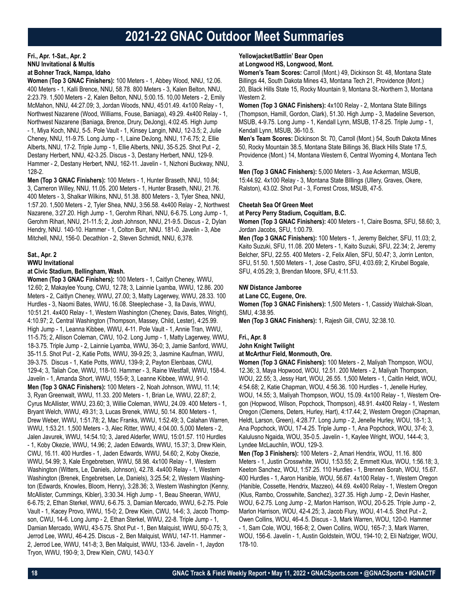## **Fri., Apr. 1-Sat., Apr. 2 NNU Invitational & Multis at Bohner Track, Nampa, Idaho**

**Women (Top 3 GNAC Finishers):** 100 Meters - 1, Abbey Wood, NNU, 12.06. 400 Meters - 1, Kalli Brence, NNU, 58.78. 800 Meters - 3, Kalen Belton, NNU, 2:23.79. 1,500 Meters - 2, Kalen Belton, NNU, 5:00.15. 10,00 Meters - 2, Emily McMahon, NNU, 44:27.09; 3, Jordan Woods, NNU, 45:01.49. 4x100 Relay - 1, Northwest Nazarene (Wood, Williams, Fouse, Baniaga), 49.29. 4x400 Relay - 1, Northwest Nazarene (Baniaga, Brence, Drury, DeJong), 4:02.45. High Jump - 1, Miya Koch, NNU, 5-5. Pole Vault - 1, Kinsey Langin, NNU, 12-3.5; 2, Julie Cheney, NNU, 11-9.75. Long Jump - 1, Laine DeJong, NNU, 17-6.75; 2, Ellie Alberts, NNU, 17-2. Triple Jump - 1, Ellie Alberts, NNU, 35-5.25. Shot Put - 2, Destany Herbert, NNU, 42-3.25. Discus - 3, Destany Herbert, NNU, 129-9. Hammer - 2, Destany Herbert, NNU, 162-11. Javelin - 1, Nizhoni Buckway, NNU, 128-2.

**Men (Top 3 GNAC Finishers):** 100 Meters - 1, Hunter Braseth, NNU, 10.84; 3, Cameron Willey, NNU, 11.05. 200 Meters - 1, Hunter Braseth, NNU, 21.76. 400 Meters - 3, Shalkar Wilkins, NNU, 51.38. 800 Meters - 3, Tyler Shea, NNU, 1:57.20. 1,500 Meters - 2, Tyler Shea, NNU, 3:56.58. 4x400 Relay - 2, Northwest Nazarene, 3:27.20. High Jump - 1, Gerohm Rihari, NNU, 6-6.75. Long Jump - 1, Gerohm Rihari, NNU, 21-11.5; 2, Josh Johnson, NNU, 21-9.5. Discus - 2, Dylan Hendry, NNU. 140-10. Hammer - 1, Colton Burr, NNU. 181-0. Javelin - 3, Abe Mitchell, NNU, 156-0. Decathlon - 2, Steven Schmidt, NNU, 6,378.

## **Sat., Apr. 2**

#### **WWU Invitational**

#### **at Civic Stadium, Bellingham, Wash.**

**Women (Top 3 GNAC Finishers):** 100 Meters - 1, Caitlyn Cheney, WWU, 12.60; 2, Makaylee Young, CWU, 12.78; 3, Lainnie Lyamba, WWU, 12.86. 200 Meters - 2, Caitlyn Cheney, WWU, 27.00; 3, Matty Lagerwey, WWU, 28.33. 100 Hurdles - 3, Naomi Bates, WWU, 16.08. Steeplechase - 3, Ila Davis, WWU, 10:51.21. 4x400 Relay - 1, Western Washington (Cheney, Davis, Bates, Wright), 4:10.97; 2, Central Washington (Thompson, Massey, Child, Lester), 4:25.99. High Jump - 1, Leanna Kibbee, WWU, 4-11. Pole Vault - 1, Annie Tran, WWU, 11-5.75; 2, Allison Coleman, CWU, 10-2. Long Jump - 1, Matty Lagerwey, WWU, 18-3.75. Triple Jump - 2, Lainnie Lyamba, WWU, 36-0; 3, Jamie Sanford, WWU, 35-11.5. Shot Put - 2, Katie Potts, WWU, 39-9.25; 3, Jasmine Kaufman, WWU, 39-3.75. Discus - 1, Katie Potts, WWU, 139-9; 2, Payton Elenbaas, CWU, 129-4; 3, Taliah Coe, WWU, 118-10. Hammer - 3, Raine Westfall, WWU, 158-4. Javelin - 1, Amanda Short, WWU, 155-9; 3, Leanne Kibbee, WWU, 91-0. **Men (Top 3 GNAC Finishers):** 100 Meters - 2, Noah Johnson, WWU, 11.14; 3, Ryan Greenwalt, WWU, 11.33. 200 Meters - 1, Brian Le, WWU, 22.87; 2, Cyrus McAllister, WWU, 23.60; 3, Willie Coleman, WWU, 24.09. 400 Meters - 1, Bryant Welch, WWU, 49.31; 3, Lucas Brenek, WWU, 50.14. 800 Meters - 1, Drew Weber, WWU, 1:51.78; 2, Mac Franks, WWU, 1:52.49; 3, Calahan Warren, WWU, 1:53.21. 1,500 Meters - 3, Alec Ritter, WWU, 4:04.00. 5,000 Meters - 2, Jalen Javurek, WWU, 14:54.10; 3, Jared Alderfer, WWU, 15:01.57. 110 Hurdles - 1, Koby Okezie, WWU, 14.96; 2, Jaden Edwards, WWU, 15.37; 3, Drew Klein, CWU, 16.11. 400 Hurdles - 1, Jaden Edwards, WWU, 54.60; 2, Koby Okezie, WWU, 54.99; 3, Kale Engebretsen, WWU, 58.98. 4x100 Relay - 1, Western Washington (Witters, Le, Daniels, Johnson), 42.78. 4x400 Relay - 1, Western Washington (Brenek, Engebretsen, Le, Daniels), 3:25.54; 2, Western Washington (Edwards, Knowles, Bloom, Henry), 3:28.36; 3, Western Washington (Kenny, McAllister, Cummings, Kibler), 3:30.34. High Jump - 1, Beau Sheeran, WWU, 6-6.75; 2, Ethan Sterkel, WWU, 6-6.75. 3, Damian Mercado, WWU, 6-2.75. Pole Vault - 1, Kacey Provo, WWU, 15-0; 2, Drew Klein, CWU, 14-6; 3, Jacob Thompson, CWU, 14-6. Long Jump - 2, Ethan Sterkel, WWU, 22-8. Triple Jump - 1, Damian Mercado, WWU, 43-5.75. Shot Put - 1, Ben Malquist, WWU, 50-0.75; 3, Jerrod Lee, WWU, 46-4.25. Discus - 2, Ben Malquist, WWU, 147-11. Hammer - 2, Jerrod Lee, WWU, 141-8; 3, Ben Malquist, WWU, 133-6. Javelin - 1, Jaydon Tryon, WWU, 190-9; 3, Drew Klein, CWU, 143-0.Y

#### **Yellowjacket/Battlin' Bear Open**

#### **at Longwood HS, Longwood, Mont.**

**Women's Team Scores:** Carroll (Mont.) 49, Dickinson St. 48, Montana State Billings 44, South Dakota Mines 43, Montana Tech 21, Providence (Mont.) 20, Black Hills State 15, Rocky Mountain 9, Montana St.-Northern 3, Montana Western 2.

**Women (Top 3 GNAC Finishers):** 4x100 Relay - 2, Montana State Billings (Thompson, Hamill, Gordon, Clark), 51.30. High Jump - 3, Madeline Severson, MSUB, 4-9.75. Long Jump - 1, Kendall Lynn, MSUB, 17-8.25. Triple Jump - 1, Kendall Lynn, MSUB, 36-10.5.

**Men's Team Scores:** Dickinson St. 70, Carroll (Mont.) 54, South Dakota Mines 50, Rocky Mountain 38.5, Montana State Billings 36, Black Hills State 17.5, Providence (Mont.) 14, Montana Western 6, Central Wyoming 4, Montana Tech 3.

**Men (Top 3 GNAC Finishers):** 5,000 Meters - 3, Ase Ackerman, MSUB, 15:44.92. 4x100 Relay - 3, Montana State BIllings (Ullery, Graves, Okere, Ralston), 43.02. Shot Put - 3, Forrest Cross, MSUB, 47-5.

#### **Cheetah Sea Of Green Meet**

**at Percy Perry Stadium, Coquitlam, B.C.**

**Women (Top 3 GNAC Finishers):** 400 Meters - 1, Claire Bosma, SFU, 58.60; 3, Jordan Jacobs, SFU, 1:00.79.

**Men (Top 3 GNAC Finishers):** 100 Meters - 1, Jeremy Belcher, SFU, 11.03; 2, Kaito Suzuki, SFU, 11.08. 200 Meters - 1, Kaito Suzuki, SFU, 22.34; 2, Jeremy Belcher, SFU, 22.55. 400 Meters - 2, Felix Allen, SFU, 50.47; 3, Jorrin Lenton, SFU, 51.50. 1,500 Meters - 1, Jose Castro, SFU, 4:03.69; 2, Kirubel Bogale, SFU, 4:05.29; 3, Brendan Moore, SFU, 4:11.53.

### **NW Distance Jamboree**

## **at Lane CC, Eugene, Ore.**

**Women (Top 3 GNAC Finishers):** 1,500 Meters - 1, Cassidy Walchak-Sloan, SMU, 4:38.95.

**Men (Top 3 GNAC Finishers):** 1, Rajesh Gill, CWU, 32:38.10.

#### **Fri., Apr. 8**

**John Knight Twilight**

**at McArthur Field, Monmouth, Ore.**

**Women (Top 3 GNAC Finishers):** 100 Meters - 2, Maliyah Thompson, WOU, 12.36; 3, Maya Hopwood, WOU, 12.51. 200 Meters - 2, Maliyah Thompson, WOU, 22.55; 3, Jessy Hart, WOU, 26.55. 1,500 Meters - 1, Caitlin Heldt, WOU, 4:54.68; 2, Katie Chapman, WOU, 4:56.36. 100 Hurdles - 1, Jenelle Hurley, WOU, 14.55; 3, Maliyah Thompson, WOU, 15.09. 4x100 Relay - 1, Western Oregon (Hopwood, Wilson, Popchock, Thompson), 48.91. 4x400 Relay - 1, Western Oregon (Clemens, Deters, Hurley, Hart), 4:17.44; 2, Western Oregon (Chapman, Heldt, Larson, Green), 4:28.77. Long Jump - 2, Jenelle Hurley, WOU, 18-1; 3, Ana Popchock, WOU, 17-4.25. Triple Jump - 1, Ana Popchock, WOU, 37-6; 3, Kalulusno Ngaida, WOU, 35-0.5. Javelin - 1, Kaylee Wright, WOU, 144-4; 3, Lyndee McLauchlin, WOU, 129-3.

**Men (Top 3 Finishers):** 100 Meters - 2, Amari Hendrix, WOU, 11.16. 800 Meters - 1, Justin Crosswhite, WOU, 1:53.55; 2, Emmett Klus, WOU, 1:56.18; 3, Keeton Sanchez, WOU, 1:57.25. 110 Hurdles - 1, Brennen Sorah, WOU, 15.67. 400 Hurdles - 1, Aaron Hanible, WOU, 56.67. 4x100 Relay - 1, Western Oregon (Hanible, Cossette, Hendrix, Mazzeo), 44.69. 4x400 Relay - 1, Western Oregon (Klus, Rambo, Crosswhite, Sanchez), 3:27.35. High Jump - 2, Devin Hasher, WOU, 6-2.75. Long Jump - 2, Marlon Harrison, WOU, 20-5.25. Triple Jump - 2, Marlon Harrison, WOU, 42-4.25; 3, Jacob Flury, WOU, 41-4.5. Shot Put - 2, Owen Collins, WOU, 46-4.5. Discus - 3, Mark Warren, WOU, 120-0. Hammer - 1, Sam Cole, WOU, 166-8; 2, Owen Collins, WOU, 165-7; 3, Mark Warren, WOU, 156-6. Javelin - 1, Austin Goldstein, WOU, 194-10; 2, Eli Nafziger, WOU, 178-10.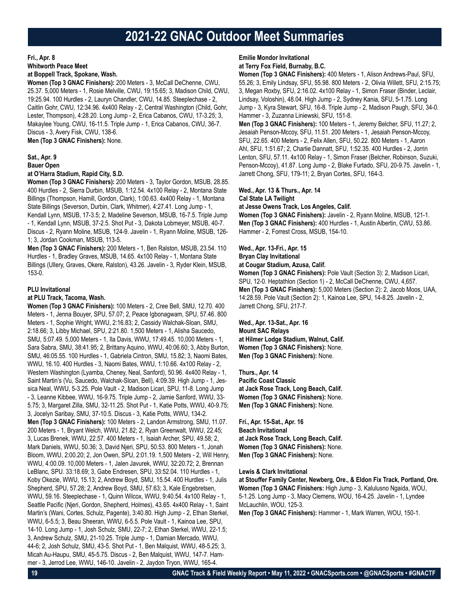## **Fri., Apr. 8**

**Whitworth Peace Meet**

## **at Boppell Track, Spokane, Wash.**

**Women (Top 3 GNAC Finishers):** 200 Meters - 3, McCall DeChenne, CWU, 25.37. 5,000 Meters - 1, Rosie Melville, CWU, 19:15.65; 3, Madison Child, CWU, 19:25.94. 100 Hurdles - 2, Lauryn Chandler, CWU, 14.85. Steeplechase - 2, Caitlin Gohr, CWU, 12:34.96. 4x400 Relay - 2, Central Washington (Child, Gohr, Lester, Thompson), 4:28.20. Long Jump - 2, Erica Cabanos, CWU, 17-3.25; 3, Makaylee Young, CWU, 16-11.5. Triple Jump - 1, Erica Cabanos, CWU, 36-7. Discus - 3, Avery Fisk, CWU, 138-6.

**Men (Top 3 GNAC Finishers):** None.

## **Sat., Apr. 9 Bauer Open**

### **at O'Harra Stadium, Rapid City, S.D.**

**Women (Top 3 GNAC Finishers):** 200 Meters - 3, Taylor Gordon, MSUB, 28.85. 400 Hurdles - 2, Sierra Durbin, MSUB, 1:12.54. 4x100 Relay - 2, Montana State Billings (Thompson, Hamill, Gordon, Clark), 1:00.63. 4x400 Relay - 1, Montana State Billings (Severson, Durbin, Clark, Whitmer), 4:27.41. Long Jump - 1,

Kendall Lynn, MSUB, 17-3.5; 2, Madeline Severson, MSUB, 16-7.5. Triple Jump - 1, Kendall Lynn, MSUB, 37-2.5. Shot Put - 3, Dakota Lobmeyer, MSUB, 40-7. Discus - 2, Ryann Moline, MSUB, 124-9. Javelin - 1, Ryann Moline, MSUB, 126- 1; 3, Jordan Cookman, MSUB, 113-5.

**Men (Top 3 GNAC Finishers):** 200 Meters - 1, Ben Ralston, MSUB, 23.54. 110 Hurdles - 1, Bradley Graves, MSUB, 14.65. 4x100 Relay - 1, Montana State Billings (Ullery, Graves, Okere, Ralston), 43.26. Javelin - 3, Ryder Klein, MSUB, 153-0.

## **PLU Invitational**

#### **at PLU Track, Tacoma, Wash.**

**Women (Top 3 GNAC Finishers):** 100 Meters - 2, Cree Bell, SMU, 12.70. 400 Meters - 1, Jenna Bouyer, SPU, 57.07; 2, Peace Igbonagwam, SPU, 57.46. 800 Meters - 1, Sophie Wright, WWU, 2:16.83; 2, Cassidy Walchak-Sloan, SMU, 2:18.66; 3, Libby Michael, SPU, 2:21.80. 1,500 Meters - 1, Alisha Saucedo, SMU, 5:07.49. 5,000 Meters - 1, Ila Davis, WWU, 17:49.45. 10,000 Meters - 1, Sara Sabra, SMU, 38:41.95; 2, Brittany Aquino, WWU, 40:06.60; 3, Abby Burton, SMU, 46:05.55. 100 Hurdles - 1, Gabriela Cintron, SMU, 15.82; 3, Naomi Bates, WWU, 16.10. 400 Hurdles - 3, Naomi Bates, WWU, 1:10.66. 4x100 Relay - 2, Western Washington (Lyamba, Cheney, Neal, Sanford), 50.96. 4x400 Relay - 1, Saint Martin's (Vu, Saucedo, Walchak-Sloan, Bell), 4:09.39. High Jump - 1, Jessica Neal, WWU, 5-3.25. Pole Vault - 2, Madison Licari, SPU, 11-8. Long Jump - 3, Leanne Kibbee, WWU, 16-9.75. Triple Jump - 2, Jamie Sanford, WWU, 33- 5.75; 3, Margaret Zilla, SMU, 32-11.25. Shot Put - 1, Katie Potts, WWU, 40-9.75; 3, Jocelyn Saribay, SMU, 37-10.5. Discus - 3, Katie Potts, WWU, 134-2. **Men (Top 3 GNAC Finishers):** 100 Meters - 2, Landon Armstrong, SMU, 11.07. 200 Meters - 1, Bryant Welch, WWU, 21.82; 2, Ryan Greenwalt, WWU, 22.45; 3, Lucas Brenek, WWU, 22.57. 400 Meters - 1, Isaiah Archer, SPU, 49.58; 2, Mark Daniels, WWU, 50.36; 3, David Njeri, SPU, 50.53. 800 Meters - 1, Jonah Bloom, WWU, 2:00.20; 2, Jon Owen, SPU, 2:01.19. 1,500 Meters - 2, Will Henry, WWU, 4:00.09. 10,000 Meters - 1, Jalen Javurek, WWU, 32:20.72; 2, Brennan LeBlanc, SPU. 33:18.69; 3, Gabe Endresen, SPU, 33:52.04. 110 Hurdles - 1, Koby Okezie, WWU, 15.13; 2, Andrew Boyd, SMU, 15.54. 400 Hurdles - 1, Julis Shepherd, SPU, 57.28; 2, Andrew Boyd, SMU, 57.63; 3, Kale Engebretsen, WWU, 59.16. Steeplechase - 1, Quinn Wilcox, WWU, 9:40.54. 4x100 Relay - 1, Seattle Pacific (Njeri, Gordon, Shepherd, Holmes), 43.65. 4x400 Relay - 1, Saint Martin's (Wani, Cortes, Schulz, Pagente), 3:40.80. High Jump - 2, Ethan Sterkel, WWU, 6-5.5; 3, Beau Sheeran, WWU, 6-5.5. Pole Vault - 1, Kainoa Lee, SPU, 14-10. Long Jump - 1, Josh Schulz, SMU, 22-7; 2, Ethan Sterkel, WWU, 22-1.5; 3, Andrew Schulz, SMU, 21-10.25. Triple Jump - 1, Damian Mercado, WWU, 44-6; 2, Josh Schulz, SMU, 43-5. Shot Put - 1, Ben Malquist, WWU, 48-5.25; 3, Micah Au-Haupu, SMU, 45-5.75. Discus - 2, Ben Malquist, WWU, 147-7. Hammer - 3, Jerrod Lee, WWU, 146-10. Javelin - 2, Jaydon Tryon, WWU, 165-4.

## **Emilie Mondor Invitational**

## **at Terry Fox Field, Burnaby, B.C.**

**Women (Top 3 GNAC Finishers):** 400 Meters - 1, Alison Andrews-Paul, SFU, 55.26; 3, Emily Lindsay, SFU, 55.98. 800 Meters - 2, Olivia Willett, SFU, 2:15.75; 3, Megan Roxby, SFU, 2:16.02. 4x100 Relay - 1, Simon Fraser (Binder, Leclair, Lindsay, Voloshin), 48.04. High Jump - 2, Sydney Kania, SFU, 5-1.75. Long Jump - 3, Kyra Stewart, SFU, 16-8. Triple Jump - 2, Madison Paugh, SFU, 34-0. Hammer - 3, Zuzanna Liniewski, SFU, 151-8.

**Men (Top 3 GNAC Finishers):** 100 Meters - 1, Jeremy Belcher, SFU, 11.27; 2, Jesaiah Penson-Mccoy, SFU, 11.51. 200 Meters - 1, Jesaiah Penson-Mccoy, SFU, 22.65. 400 Meters - 2, Felix Allen, SFU, 50.22. 800 Meters - 1, Aaron Ahl, SFU, 1:51.67; 2, Charlie Dannatt, SFU, 1:52.35. 400 Hurdles - 2, Jorrin Lenton, SFU, 57.11. 4x100 Relay - 1, Simon Fraser (Belcher, Robinson, Suzuki, Penson-Mccoy), 41.87. Long Jump - 2, Blake Furtado, SFU, 20-9.75. Javelin - 1, Jarrett Chong, SFU, 179-11; 2, Bryan Cortes, SFU, 164-3.

### **Wed., Apr. 13 & Thurs., Apr. 14 Cal State LA Twilight**

**at Jesse Owens Track, Los Angeles, Calif.**

**Women (Top 3 GNAC Finishers):** Javelin - 2, Ryann Moline, MSUB, 121-1. **Men (Top 3 GNAC Finishers):** 400 Hurdles - 1, Austin Albertin, CWU, 53.86. Hammer - 2, Forrest Cross, MSUB, 154-10.

### **Wed., Apr. 13-Fri., Apr. 15**

**Bryan Clay Invitational**

**at Cougar Stadium, Azusa, Calif.**

**Women (Top 3 GNAC Finishers):** Pole Vault (Section 3): 2, Madison Licari, SPU, 12-0. Heptathlon (Section 1) - 2, McCall DeChenne, CWU, 4,657. **Men (Top 3 GNAC Finishers):** 5,000 Meters (Section 2): 2, Jacob Moos, UAA, 14:28.59. Pole Vault (Section 2): 1, Kainoa Lee, SPU, 14-8.25. Javelin - 2, Jarrett Chong, SFU, 217-7.

**Wed., Apr. 13-Sat., Apr. 16 Mount SAC Relays at Hilmer Lodge Stadium, Walnut, Calif. Women (Top 3 GNAC Finishers):** None. **Men (Top 3 GNAC Finishers):** None.

**Thurs., Apr. 14 Pacific Coast Classic at Jack Rose Track, Long Beach, Calif. Women (Top 3 GNAC Finishers):** None. **Men (Top 3 GNAC Finishers):** None.

**Fri., Apr. 15-Sat., Apr. 16 Beach Invitational at Jack Rose Track, Long Beach, Calif. Women (Top 3 GNAC Finishers):** None. **Men (Top 3 GNAC Finishers):** None.

#### **Lewis & Clark Invitational**

**at Stouffer Family Center, Newberg, Ore., & Eldon Fix Track, Portland, Ore. Women (Top 3 GNAC Finishers:** High Jump - 3, Kalulusno Ngaida, WOU, 5-1.25. Long Jump - 3, Macy Clemens, WOU, 16-4.25. Javelin - 1, Lyndee McLauchlin, WOU, 125-3. **Men (Top 3 GNAC Finishers):** Hammer - 1, Mark Warren, WOU, 150-1.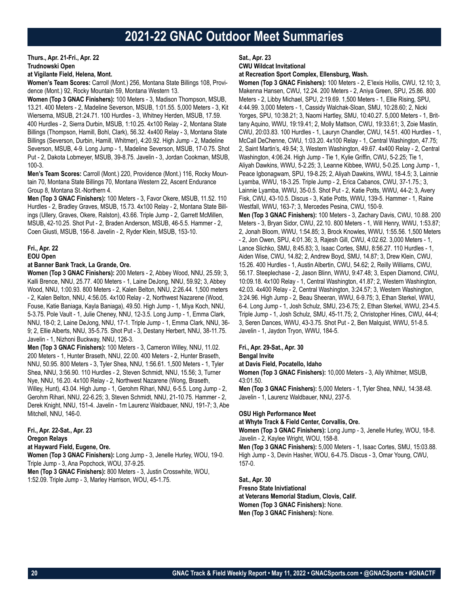## **Thurs., Apr. 21-Fri., Apr. 22 Trudnowski Open**

### **at Vigilante Field, Helena, Mont.**

**Women's Team Scores:** Carroll (Mont.) 256, Montana State Billings 108, Providence (Mont.) 92, Rocky Mountain 59, Montana Western 13.

**Women (Top 3 GNAC Finishers):** 100 Meters - 3, Madison Thompson, MSUB, 13.21. 400 Meters - 2, Madeline Severson, MSUB, 1:01.55. 5,000 Meters - 3, Kit Wiersema, MSUB, 21:24.71. 100 Hurdles - 3, Whitney Herden, MSUB, 17.59. 400 Hurdles - 2, Sierra Durbin, MSUB, 1:10.25. 4x100 Relay - 2, Montana State Billings (Thompson, Hamill, Bohl, Clark), 56.32. 4x400 Relay - 3, Montana State Billings (Severson, Durbin, Hamill, Whitmer), 4:20.92. High Jump - 2, Madeline

Severson, MSUB, 4-9. Long Jump - 1, Madeline Severson, MSUB, 17-0.75. Shot Put - 2, Dakota Lobmeyer, MSUB, 39-8.75. Javelin - 3, Jordan Cookman, MSUB, 100-3.

**Men's Team Scores:** Carroll (Mont.) 220, Providence (Mont.) 116, Rocky Mountain 70, Montana State Billings 70, Montana Western 22, Ascent Endurance Group 8, Montana St.-Northern 4.

**Men (Top 3 GNAC Finishers):** 100 Meters - 3, Favor Okere, MSUB, 11.52. 110 Hurdles - 2, Bradley Graves, MSUB, 15.73. 4x100 Relay - 2, Montana State Billings (Ullery, Graves, Okere, Ralston), 43.66. Triple Jump - 2, Garrett McMillen, MSUB, 42-10.25. Shot Put - 2, Braden Anderson, MSUB, 46-5.5. Hammer - 2, Coen Giusti, MSUB, 156-8. Javelin - 2, Ryder Klein, MSUB, 153-10.

#### **Fri., Apr. 22 EOU Open**

### **at Banner Bank Track, La Grande, Ore.**

**Women (Top 3 GNAC Finishers):** 200 Meters - 2, Abbey Wood, NNU, 25.59; 3, Kalli Brence, NNU, 25.77. 400 Meters - 1, Laine DeJong, NNU, 59.92; 3, Abbey Wood, NNU, 1:00.93. 800 Meters - 2, Kalen Belton, NNU, 2:26.44. 1,500 meters - 2, Kalen Belton, NNU, 4:56.05. 4x100 Relay - 2, Northwest Nazarene (Wood, Fouse, Katie Baniaga, Kayla Baniaga), 49.50. High Jump - 1, Miya Koch, NNU, 5-3.75. Pole Vault - 1, Julie Cheney, NNU, 12-3.5. Long Jump - 1, Emma Clark, NNU, 18-0; 2, Laine DeJong, NNU, 17-1. Triple Jump - 1, Emma Clark, NNU, 36- 9; 2, Ellie Alberts, NNU, 35-5.75. Shot Put - 3, Destany Herbert, NNU, 38-11.75. Javelin - 1, Nizhoni Buckway, NNU, 126-3.

**Men (Top 3 GNAC Finishers):** 100 Meters - 3, Cameron Willey, NNU, 11.02. 200 Meters - 1, Hunter Braseth, NNU, 22.00. 400 Meters - 2, Hunter Braseth, NNU, 50.95. 800 Meters - 3, Tyler Shea, NNU, 1:56.61. 1,500 Meters - 1, Tyler Shea, NNU, 3:56.90. 110 Hurdles - 2, Steven Schmidt, NNU, 15.56; 3, Turner Nye, NNU, 16.20. 4x100 Relay - 2, Northwest Nazarene (Wong, Braseth, Willey, Hunt), 43.04. High Jump - 1, Gerohm Rihari, NNU, 6-5.5. Long Jump - 2, Gerohm Rihari, NNU, 22-6.25; 3, Steven Schmidt, NNU, 21-10.75. Hammer - 2, Derek Knight, NNU, 151-4. Javelin - 1m Laurenz Waldbauer, NNU, 191-7; 3, Abe Mitchell, NNU, 146-0.

## **Fri., Apr. 22-Sat., Apr. 23**

## **Oregon Relays**

## **at Hayward Field, Eugene, Ore.**

**Women (Top 3 GNAC Finishers):** Long Jump - 3, Jenelle Hurley, WOU, 19-0. Triple Jump - 3, Ana Popchock, WOU, 37-9.25.

**Men (Top 3 GNAC Finishers):** 800 Meters - 3, Justin Crosswhite, WOU, 1:52.09. Triple Jump - 3, Marley Harrison, WOU, 45-1.75.

## **Sat., Apr. 23**

### **CWU Wildcat Invitational**

**at Recreation Sport Complex, Ellensburg, Wash.**

**Women (Top 3 GNAC Finishers):** 100 Meters - 2, E'lexis Hollis, CWU, 12.10; 3, Makenna Hansen, CWU, 12.24. 200 Meters - 2, Aniya Green, SPU, 25.86. 800 Meters - 2, Libby Michael, SPU, 2:19.69. 1,500 Meters - 1, Ellie Rising, SPU, 4:44.99. 3,000 Meters - 1, Cassidy Walchak-Sloan, SMU, 10:28.60; 2, Nicki Yorges, SPU, 10:38.21; 3, Naomi Hartley, SMU, 10:40.27. 5,000 Meters - 1, Brittany Aquino, WWU, 19:19.41; 2, Molly Mattson, CWU, 19:33.61; 3, Zoie Mastin, CWU, 20:03.83. 100 Hurdles - 1, Lauryn Chandler, CWU, 14.51. 400 Hurdles - 1, McCall DeChenne, CWU, 1:03.20. 4x100 Relay - 1, Central Washington, 47.75; 2, Saint Martin's, 49.54; 3, Western Washington, 49.67. 4x400 Relay - 2, Central Washington, 4:06.24. High Jump - Tie 1, Kylie Griffin, CWU, 5-2.25; Tie 1, Aliyah Dawkins, WWU, 5-2.25; 3, Leanne Kibbee, WWU, 5-0.25. Long Jump - 1, Peace Igbonagwam, SPU, 19-8.25; 2, Aliyah Dawkins, WWU, 18-4.5; 3, Lainnie Lyamba, WWU, 18-3.25. Triple Jump - 2, Erica Cabanos, CWU, 37-1.75.; 3, Lainnie Lyamba, WWU, 35-0.5. Shot Put - 2, Katie Potts, WWU, 44-2; 3, Avery Fisk, CWU, 43-10.5. Discus - 3, Katie Potts, WWU, 139-5. Hammer - 1, Raine Westfall, WWU, 163-7; 3, Mercedes Pesina, CWU, 150-9. **Men (Top 3 GNAC Finishers):** 100 Meters - 3, Zachary Davis, CWU, 10.88. 200 Meters - 3, Bryan Sidor, CWU, 22.10. 800 Meters - 1, Will Henry, WWU, 1:53.87; 2, Jonah Bloom, WWU, 1:54.85; 3, Brock Knowles, WWU, 1:55.56. 1,500 Meters - 2, Jon Owen, SPU, 4:01.36; 3, Rajesh Gill, CWU, 4:02.62. 3,000 Meters - 1, Lance Slichko, SMU, 8:45.83; 3, Isaac Cortes, SMU, 8:56.27. 110 Hurdles - 1, Aiden Wise, CWU, 14.82; 2, Andrew Boyd, SMU, 14.87; 3, Drew Klein, CWU, 15.26. 400 Hurdles - 1, Austin Albertin, CWU, 54.62; 2, Reilly Williams, CWU, 56.17. Steeplechase - 2, Jason Blinn, WWU, 9:47.48; 3, Espen Diamond, CWU, 10:09.18. 4x100 Relay - 1, Central Washington, 41.87; 2, Western Washington, 42.03. 4x400 Relay - 2, Central Washington, 3:24.57; 3, Western Washington, 3:24.96. High Jump - 2, Beau Sheeran, WWU, 6-9.75; 3, Ethan Sterkel, WWU, 6-4. Long Jump - 1, Josh Schulz, SMU, 23-6.75; 2, Ethan Sterkel, WWU, 23-4.5. Triple Jump - 1, Josh Schulz, SMU, 45-11.75; 2, Christopher Hines, CWU, 44-4; 3, Seren Dances, WWU, 43-3.75. Shot Put - 2, Ben Malquist, WWU, 51-8.5. Javelin - 1, Jaydon Tryon, WWU, 184-5.

**Fri., Apr. 29-Sat., Apr. 30**

### **Bengal Invite**

**at Davis Field, Pocatello, Idaho**

**Women (Top 3 GNAC Finishers):** 10,000 Meters - 3, Ally Whitmer, MSUB, 43:01.50.

**Men (Top 3 GNAC Finishers):** 5,000 Meters - 1, Tyler Shea, NNU, 14:38.48. Javelin - 1, Laurenz Waldbauer, NNU, 237-5.

#### **OSU High Performance Meet**

#### **at Whyte Track & Field Center, Corvallis, Ore.**

**Women (Top 3 GNAC Finishers):** Long Jump - 3, Jenelle Hurley, WOU, 18-8. Javelin - 2, Kaylee Wright, WOU, 158-8.

**Men (Top 3 GNAC Finishers):** 5,000 Meters - 1, Isaac Cortes, SMU, 15:03.88. High Jump - 3, Devin Hasher, WOU, 6-4.75. Discus - 3, Omar Young, CWU, 157-0.

#### **Sat., Apr. 30**

**Fresno State Inivtiational at Veterans Memorial Stadium, Clovis, Calif. Women (Top 3 GNAC Finishers):** None. **Men (Top 3 GNAC Finishers):** None.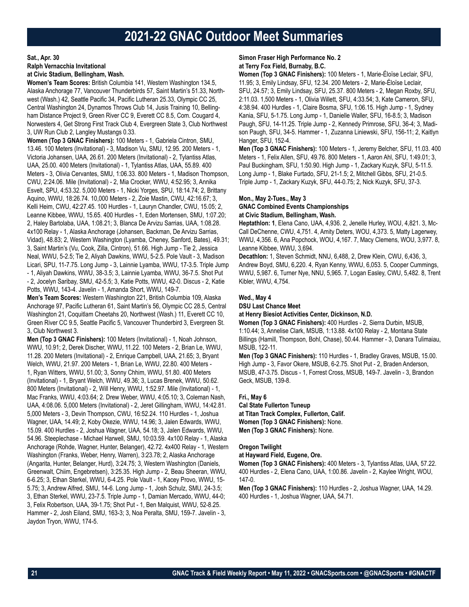## **Sat., Apr. 30 Ralph Vernacchia Invitational at Civic Stadium, Bellingham, Wash.**

**Women's Team Scores:** British Columbia 141, Western Washington 134.5, Alaska Anchorage 77, Vancouver Thunderbirds 57, Saint Martin's 51.33, Northwest (Wash.) 42, Seattle Pacific 34, Pacific Lutheran 25.33, Olympic CC 25, Central Washington 24, Dynamos Throws Club 14, Jusis Training 10, Bellingham Distance Project 9, Green River CC 9, Everett CC 8.5, Com. Cougard 4, Norwesters 4, Get Strong First Track Club 4, Evergreen State 3, Club Northwest 3, UW Run Club 2, Langley Mustangs 0.33.

**Women (Top 3 GNAC Finishers):** 100 Meters - 1, Gabriela Cintron, SMU, 13.46. 100 Meters (Invitational) - 3, Madison Vu, SMU, 12.95. 200 Meters - 1, Victoria Johansen, UAA, 26.61. 200 Meters (Invitational) - 2, Tylantiss Atlas, UAA, 25.00. 400 Meters (Invitational) - 1, Tylantiss Atlas, UAA, 55.89. 400 Meters - 3, Olivia Cervantes, SMU, 1:06.33. 800 Meters - 1, Madison Thompson, CWU, 2:24.06. Mile (Invitational) - 2, Mia Crocker, WWU, 4:52.95; 3, Annika Esvelt, SPU, 4:53.32. 5,000 Meters - 1, Nicki Yorges, SPU, 18:14.74; 2, Brittany Aquino, WWU, 18:26.74. 10,000 Meters - 2, Zoie Mastin, CWU, 42:16.67; 3, Kelli Heim, CWU, 42:27.45. 100 Hurdles - 1, Lauryn Chandler, CWU, 15.05; 2, Leanne Kibbee, WWU, 15.65. 400 Hurdles - 1, Eden Mortensen, SMU, 1:07.20; 2, Haley Bartolaba, UAA, 1:08.21; 3, Blanca De Arvizu Sarrias, UAA, 1:08.28. 4x100 Relay - 1, Alaska Anchorage (Johansen, Backman, De Arvizu Sarrias, Vidad), 48.83; 2, Western Washington (Lyamba, Cheney, Sanford, Bates), 49.31; 3, Saint Martin's (Vu, Cook, Zilla, Cintron), 51.66. High Jump - Tie 2, Jessica Neal, WWU, 5-2.5; Tie 2, Aliyah Dawkins, WWU, 5-2.5. Pole Vault - 3, Madison Licari, SPU, 11-7.75. Long Jump - 3, Lainnie Lyamba, WWU, 17-3.5. Triple Jump - 1, Aliyah Dawkins, WWU, 38-3.5; 3, Lainnie Lyamba, WWU, 36-7.5. Shot Put - 2, Jocelyn Saribay, SMU, 42-5.5; 3, Katie Potts, WWU, 42-0. Discus - 2, Katie Potts, WWU, 143-4. Javelin - 1, Amanda Short, WWU, 149-7.

**Men's Team Scores:** Western Washington 221, British Columbia 109, Alaska Anchorage 97, Pacific Lutheran 61, Saint Martin's 56, Olympic CC 28.5, Central Washington 21, Coquitlam Cheetahs 20, Northwest (Wash.) 11, Everett CC 10, Green River CC 9.5, Seattle Pacific 5, Vancouver Thunderbird 3, Evergreen St. 3, Club Northwest 3.

**Men (Top 3 GNAC Finishers):** 100 Meters (Invitational) - 1, Noah Johnson, WWU, 10.91; 2, Derek Discher, WWU, 11.22. 100 Meters - 2, Brian Le, WWU, 11.28. 200 Meters (Invitational) - 2, Enrique Campbell, UAA, 21.65; 3, Bryant Welch, WWU, 21.97. 200 Meters - 1, Brian Le, WWU, 22.80. 400 Meters - 1, Ryan Witters, WWU, 51.00; 3, Sonny Chhim, WWU, 51.80. 400 Meters (Invitational) - 1, Bryant Welch, WWU, 49.36; 3, Lucas Brenek, WWU, 50.62. 800 Meters (Invitational) - 2, Will Henry, WWU, 1:52.97. Mile (Invitational) - 1, Mac Franks, WWU, 4:03.64; 2. Drew Weber, WWU, 4:05.10; 3, Coleman Nash, UAA, 4:08.06. 5,000 Meters (Invitational) - 2, Jeret Gillingham, WWU, 14:42.81. 5,000 Meters - 3, Devin Thompson, CWU, 16:52.24. 110 Hurdles - 1, Joshua Wagner, UAA, 14.49; 2, Koby Okezie, WWU, 14.96; 3, Jalen Edwards, WWU, 15.09. 400 Hurdles - 2, Joshua Wagner, UAA, 54.18; 3, Jalen Edwards, WWU, 54.96. Steeplechase - Michael Harwell, SMU, 10:03.59. 4x100 Relay - 1, Alaska Anchorage (Rohde, Wagner, Hunter, Belanger), 42.72. 4x400 Relay - 1, Western Washington (Franks, Weber, Henry, Warren), 3:23.78; 2, Alaska Anchorage (Angarita, Hunter, Belanger, Hurd), 3:24.75; 3, Western Washington (Daniels, Greenwalt, Chiim, Engebretsen), 3:25.35. High Jump - 2, Beau Sheeran, WWU, 6-6.25; 3, Ethan Sterkel, WWU, 6-4.25. Pole Vault - 1, Kacey Provo, WWU, 15- 5.75; 3, Andrew Alfred, SMU, 14-6. Long Jump - 1, Josh Schulz, SMU, 24-3.5; 3, Ethan Sterkel, WWU, 23-7.5. Triple Jump - 1, Damian Mercado, WWU, 44-0; 3, Felix Robertson, UAA, 39-1.75; Shot Put - 1, Ben Malquist, WWU, 52-8.25. Hammer - 2, Josh Eiland, SMU, 163-3; 3, Noa Peralta, SMU, 159-7. Javelin - 3, Jaydon Tryon, WWU, 174-5.

## **Simon Fraser High Performance No. 2 at Terry Fox Field, Burnaby, B.C.**

**Women (Top 3 GNAC Finishers):** 100 Meters - 1, Marie-Éloïse Leclair, SFU, 11.95; 3, Emily Lindsay, SFU, 12.34. 200 Meters - 2, Marie-Éloïse Leclair, SFU, 24.57; 3, Emily Lindsay, SFU, 25.37. 800 Meters - 2, Megan Roxby, SFU, 2:11.03. 1,500 Meters - 1, Olivia Willett, SFU, 4:33.54; 3, Kate Cameron, SFU, 4:38.94. 400 Hurdles - 1, Claire Bosma, SFU, 1:06.15. High Jump - 1, Sydney Kania, SFU, 5-1.75. Long Jump - 1, Danielle Waller, SFU, 16-8.5; 3, Madison Paugh, SFU, 14-11.25. Triple Jump - 2, Kennedy Primrose, SFU, 36-4; 3, Madison Paugh, SFU, 34-5. Hammer - 1, Zuzanna Liniewski, SFU, 156-11; 2, Kaitlyn Hanger, SFU, 152-4.

**Men (Top 3 GNAC Finishers):** 100 Meters - 1, Jeremy Belcher, SFU, 11.03. 400 Meters - 1, Felix Allen, SFU, 49.76. 800 Meters - 1, Aaron Ahl, SFU, 1:49.01; 3, Paul Buckingham, SFU, 1:50.90. High Jump - 1, Zackary Kuzyk, SFU, 5-11.5. Long Jump - 1, Blake Furtado, SFU, 21-1.5; 2, Mitchell Gibbs, SFU, 21-0.5. Triple Jump - 1, Zackary Kuzyk, SFU, 44-0.75; 2, Nick Kuzyk, SFU, 37-3.

## **Mon., May 2-Tues., May 3 GNAC Combined Events Championships**

**at Civic Stadium, Bellingham, Wash.**

**Heptathlon: 1**, Elena Cano, UAA, 4,936. 2, Jenelle Hurley, WOU, 4,821. 3, Mc-Call DeChenne, CWU, 4,751. 4, Amity Deters, WOU, 4,373. 5, Matty Lagerwey, WWU, 4,356. 6, Ana Popchock, WOU, 4,167. 7, Macy Clemens, WOU, 3,977. 8, Leanne Kibbee, WWU, 3,694.

**Decathlon:** 1, Steven Schmidt, NNU, 6,488, 2, Drew Klein, CWU, 6,436, 3, Andrew Boyd, SMU, 6,220. 4, Ryan Kenny, WWU, 6,053. 5, Cooper Cummings, WWU, 5,987. 6, Turner Nye, NNU, 5,965. 7, Logan Easley, CWU, 5,482. 8, Trent Kibler, WWU, 4,754.

## **Wed., May 4**

**DSU Last Chance Meet**

**at Henry Biesiot Activities Center, Dickinson, N.D.**

**Women (Top 3 GNAC Finishers):** 400 Hurdles - 2, Sierra Durbin, MSUB, 1:10.44; 3, Annelise Clark, MSUB, 1:13.88. 4x100 Relay - 2, Montana State Billings (Hamill, Thompson, Bohl, Chase), 50.44. Hammer - 3, Danara Tulimaiau, MSUB, 122-11.

**Men (Top 3 GNAC Finishers):** 110 Hurdles - 1, Bradley Graves, MSUB, 15.00. High Jump - 3, Favor Okere, MSUB, 6-2.75. Shot Put - 2, Braden Anderson, MSUB, 47-3.75. Discus - 1, Forrest Cross, MSUB, 149-7. Javelin - 3, Brandon Geck, MSUB, 139-8.

## **Fri., May 6**

**Cal State Fullerton Tuneup at Titan Track Complex, Fullerton, Calif. Women (Top 3 GNAC Finishers):** None. **Men (Top 3 GNAC Finishers):** None.

## **Oregon Twilight**

**at Hayward Field, Eugene, Ore.**

**Women (Top 3 GNAC Finishers):** 400 Meters - 3, Tylantiss Atlas, UAA, 57.22. 400 Hurdles - 2, Elena Cano, UAA, 1:00.86. Javelin - 2, Kaylee Wright, WOU, 147-0.

**Men (Top 3 GNAC Finishers):** 110 Hurdles - 2, Joshua Wagner, UAA, 14.29. 400 Hurdles - 1, Joshua Wagner, UAA, 54.71.